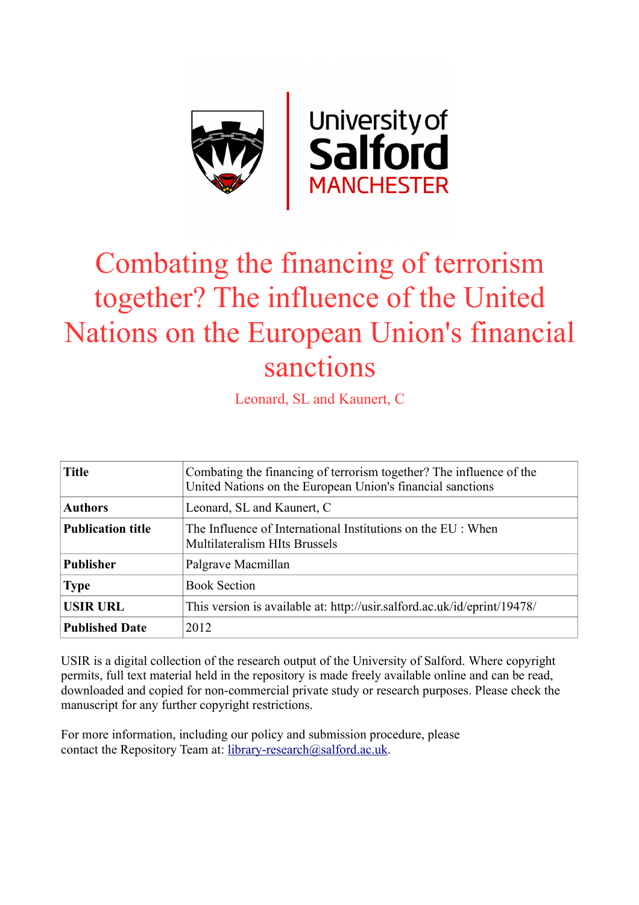

# Combating the financing of terrorism together? The influence of the United Nations on the European Union's financial sanctions

Leonard, SL and Kaunert, C

| <b>Title</b>             | Combating the financing of terrorism together? The influence of the<br>United Nations on the European Union's financial sanctions |  |
|--------------------------|-----------------------------------------------------------------------------------------------------------------------------------|--|
| <b>Authors</b>           | Leonard, SL and Kaunert, C                                                                                                        |  |
| <b>Publication title</b> | The Influence of International Institutions on the EU : When<br>Multilateralism HIts Brussels                                     |  |
| <b>Publisher</b>         | Palgrave Macmillan                                                                                                                |  |
| <b>Type</b>              | <b>Book Section</b>                                                                                                               |  |
| <b>USIR URL</b>          | This version is available at: http://usir.salford.ac.uk/id/eprint/19478/                                                          |  |
| <b>Published Date</b>    | 2012                                                                                                                              |  |

USIR is a digital collection of the research output of the University of Salford. Where copyright permits, full text material held in the repository is made freely available online and can be read, downloaded and copied for non-commercial private study or research purposes. Please check the manuscript for any further copyright restrictions.

For more information, including our policy and submission procedure, please contact the Repository Team at: [library-research@salford.ac.uk.](mailto:library-research@salford.ac.uk)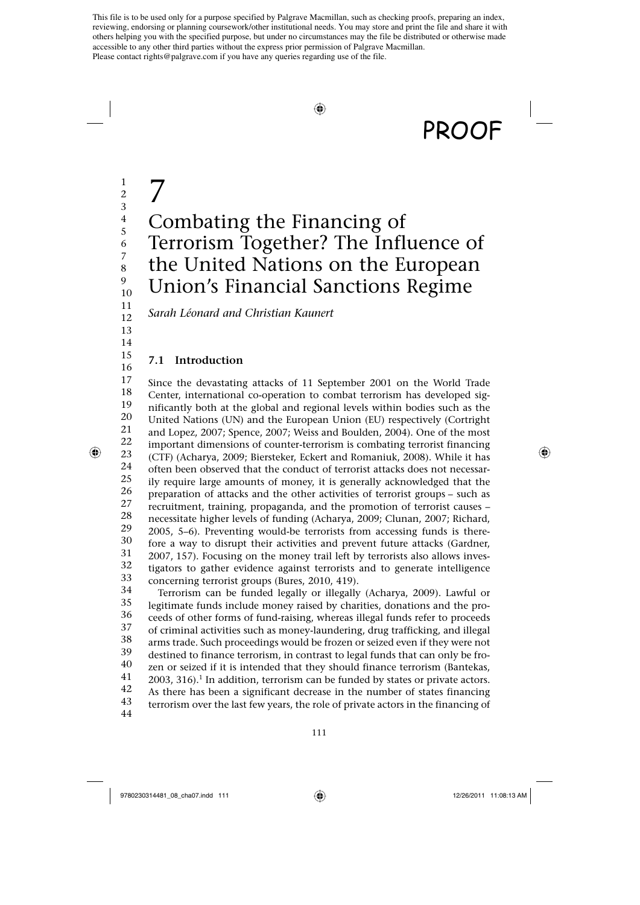This file is to be used only for a purpose specified by Palgrave Macmillan, such as checking proofs, preparing an index, reviewing, endorsing or planning coursework/other institutional needs. You may store and print the file and share it with others helping you with the specified purpose, but under no circumstances may the file be distributed or otherwise made accessible to any other third parties without the express prior permission of Palgrave Macmillan. Please contact rights@palgrave.com if you have any queries regarding use of the file.

⊕

PROOF

### Combating the Financing of Terrorism Together? The Influence of the United Nations on the European Union's Financial Sanctions Regime 10

*Sarah Léonard and Christian Kaunert*

#### **7.1 Introduction** 15 16

7

◈

Since the devastating attacks of 11 September 2001 on the World Trade Center, international co-operation to combat terrorism has developed significantly both at the global and regional levels within bodies such as the United Nations (UN) and the European Union (EU) respectively (Cortright and Lopez, 2007; Spence, 2007; Weiss and Boulden, 2004). One of the most important dimensions of counter-terrorism is combating terrorist financing (CTF) (Acharya, 2009; Biersteker, Eckert and Romaniuk, 2008). While it has often been observed that the conduct of terrorist attacks does not necessarily require large amounts of money, it is generally acknowledged that the preparation of attacks and the other activities of terrorist groups – such as recruitment, training, propaganda, and the promotion of terrorist causes – necessitate higher levels of funding (Acharya, 2009; Clunan, 2007; Richard, 2005, 5–6). Preventing would-be terrorists from accessing funds is therefore a way to disrupt their activities and prevent future attacks (Gardner, 2007, 157). Focusing on the money trail left by terrorists also allows investigators to gather evidence against terrorists and to generate intelligence concerning terrorist groups (Bures, 2010, 419). Terrorism can be funded legally or illegally (Acharya, 2009). Lawful or 17 18 19 20 21 22 23 24 25 26 27 28 29 30 31 32 33 34

legitimate funds include money raised by charities, donations and the proceeds of other forms of fund-raising, whereas illegal funds refer to proceeds of criminal activities such as money-laundering, drug trafficking, and illegal arms trade. Such proceedings would be frozen or seized even if they were not destined to finance terrorism, in contrast to legal funds that can only be frozen or seized if it is intended that they should finance terrorism (Bantekas,  $2003$ ,  $316$ ).<sup>1</sup> In addition, terrorism can be funded by states or private actors. As there has been a significant decrease in the number of states financing terrorism over the last few years, the role of private actors in the financing of 35 36 37 38 39 40 41 42 43 44

9780230314481\_08\_cha07.indd 111 780230314481\_08\_cha07.indd 111 780230314481\_08\_cha07.indd 12/26/2011 11:08:13 AM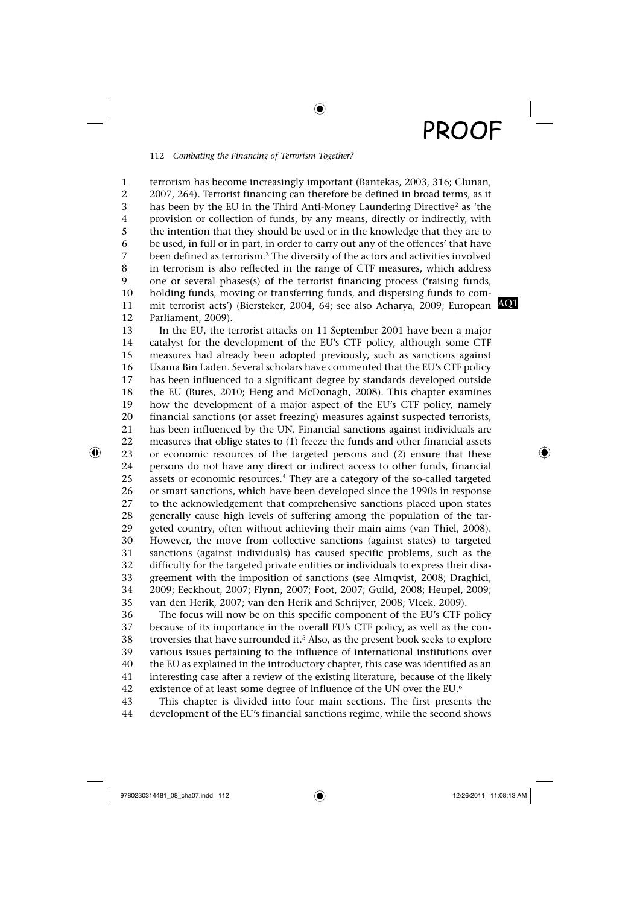#### 112 *Combating the Financing of Terrorism Together?*

terrorism has become increasingly important (Bantekas, 2003, 316; Clunan, 2007, 264). Terrorist financing can therefore be defined in broad terms, as it has been by the EU in the Third Anti-Money Laundering Directive<sup>2</sup> as 'the provision or collection of funds, by any means, directly or indirectly, with the intention that they should be used or in the knowledge that they are to be used, in full or in part, in order to carry out any of the offences' that have been defined as terrorism.3 The diversity of the actors and activities involved in terrorism is also reflected in the range of CTF measures, which address one or several phases(s) of the terrorist financing process ('raising funds, holding funds, moving or transferring funds, and dispersing funds to commit terrorist acts') (Biersteker, 2004, 64; see also Acharya, 2009; European AQ1 Parliament, 2009). 1 2 3 4 5 6 7 8  $\mathbf Q$ 10 11 12

⊕

In the EU, the terrorist attacks on 11 September 2001 have been a major catalyst for the development of the EU's CTF policy, although some CTF measures had already been adopted previously, such as sanctions against Usama Bin Laden. Several scholars have commented that the EU's CTF policy has been influenced to a significant degree by standards developed outside the EU (Bures, 2010; Heng and McDonagh, 2008). This chapter examines how the development of a major aspect of the EU's CTF policy, namely financial sanctions (or asset freezing) measures against suspected terrorists, has been influenced by the UN. Financial sanctions against individuals are measures that oblige states to (1) freeze the funds and other financial assets or economic resources of the targeted persons and (2) ensure that these persons do not have any direct or indirect access to other funds, financial assets or economic resources.4 They are a category of the so-called targeted or smart sanctions, which have been developed since the 1990s in response to the acknowledgement that comprehensive sanctions placed upon states generally cause high levels of suffering among the population of the targeted country, often without achieving their main aims (van Thiel, 2008). However, the move from collective sanctions (against states) to targeted sanctions (against individuals) has caused specific problems, such as the difficulty for the targeted private entities or individuals to express their disagreement with the imposition of sanctions (see Almqvist, 2008; Draghici, 2009; Eeckhout, 2007; Flynn, 2007; Foot, 2007; Guild, 2008; Heupel, 2009; van den Herik, 2007; van den Herik and Schrijver, 2008; Vlcek, 2009). 13 14 15 16 17 18 19 20 21 22 23 24 25 26 27 28 29 30 31 32 33 34 35

The focus will now be on this specific component of the EU's CTF policy because of its importance in the overall EU's CTF policy, as well as the controversies that have surrounded it.<sup>5</sup> Also, as the present book seeks to explore various issues pertaining to the influence of international institutions over the EU as explained in the introductory chapter, this case was identified as an interesting case after a review of the existing literature, because of the likely existence of at least some degree of influence of the UN over the EU.6 36 37 38 39 40 41 42

This chapter is divided into four main sections. The first presents the development of the EU's financial sanctions regime, while the second shows 43 44

◈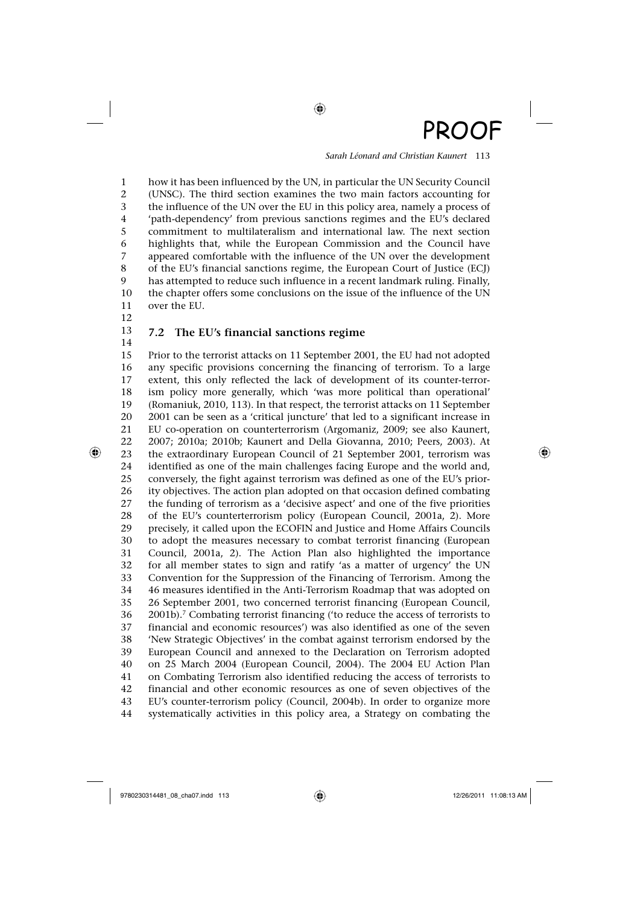*Sarah Léonard and Christian Kaunert* 113

how it has been influenced by the UN, in particular the UN Security Council (UNSC). The third section examines the two main factors accounting for the influence of the UN over the EU in this policy area, namely a process of 'path-dependency' from previous sanctions regimes and the EU's declared commitment to multilateralism and international law. The next section highlights that, while the European Commission and the Council have appeared comfortable with the influence of the UN over the development of the EU's financial sanctions regime, the European Court of Justice (ECJ) has attempted to reduce such influence in a recent landmark ruling. Finally, the chapter offers some conclusions on the issue of the influence of the UN over the EU. 1 2 3 4 5 6 7 8 **9** 10 11

⊕

12 13

14

#### **7.2 The EU's financial sanctions regime**

Prior to the terrorist attacks on 11 September 2001, the EU had not adopted any specific provisions concerning the financing of terrorism. To a large extent, this only reflected the lack of development of its counter-terrorism policy more generally, which 'was more political than operational' (Romaniuk, 2010, 113). In that respect, the terrorist attacks on 11 September 2001 can be seen as a 'critical juncture' that led to a significant increase in EU co-operation on counterterrorism (Argomaniz, 2009; see also Kaunert, 2007; 2010a; 2010b; Kaunert and Della Giovanna, 2010; Peers, 2003). At the extraordinary European Council of 21 September 2001, terrorism was identified as one of the main challenges facing Europe and the world and, conversely, the fight against terrorism was defined as one of the EU's priority objectives. The action plan adopted on that occasion defined combating the funding of terrorism as a 'decisive aspect' and one of the five priorities of the EU's counterterrorism policy (European Council, 2001a, 2). More precisely, it called upon the ECOFIN and Justice and Home Affairs Councils to adopt the measures necessary to combat terrorist financing (European Council, 2001a, 2). The Action Plan also highlighted the importance for all member states to sign and ratify 'as a matter of urgency' the UN Convention for the Suppression of the Financing of Terrorism. Among the 46 measures identified in the Anti-Terrorism Roadmap that was adopted on 26 September 2001, two concerned terrorist financing (European Council, 2001b).7 Combating terrorist financing ('to reduce the access of terrorists to financial and economic resources') was also identified as one of the seven 'New Strategic Objectives' in the combat against terrorism endorsed by the European Council and annexed to the Declaration on Terrorism adopted on 25 March 2004 (European Council, 2004). The 2004 EU Action Plan on Combating Terrorism also identified reducing the access of terrorists to financial and other economic resources as one of seven objectives of the EU's counter-terrorism policy (Council, 2004b). In order to organize more systematically activities in this policy area, a Strategy on combating the 15 16 17 18 19 20 21 22 23 24 25 26 27 28  $29$ 30 31 32 33 34 35 36 37 38 39 40 41 42 43 44

◈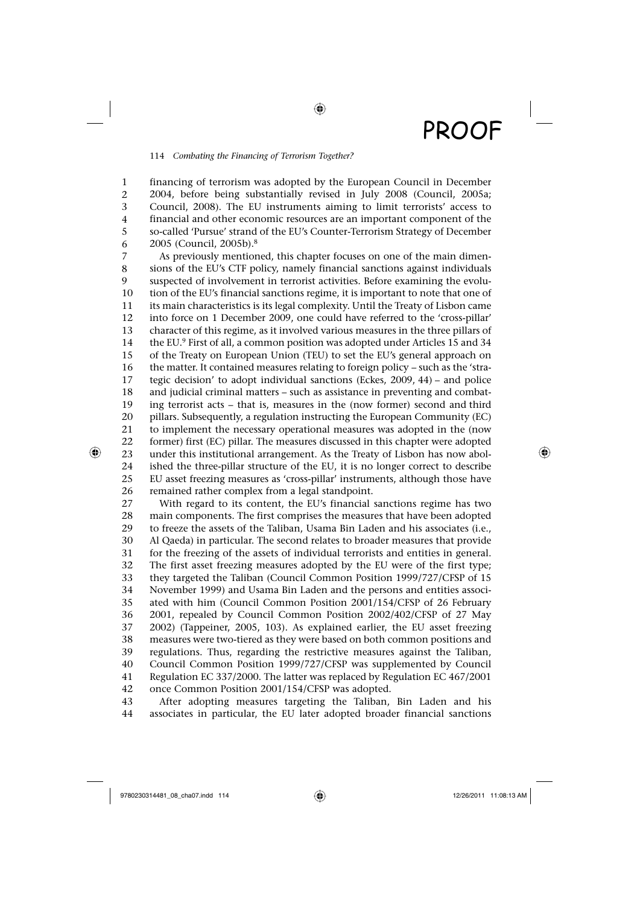#### 114 *Combating the Financing of Terrorism Together?*

financing of terrorism was adopted by the European Council in December 2004, before being substantially revised in July 2008 (Council, 2005a; Council, 2008). The EU instruments aiming to limit terrorists' access to financial and other economic resources are an important component of the so-called 'Pursue' strand of the EU's Counter-Terrorism Strategy of December 2005 (Council, 2005b).8 1  $\overline{2}$ 3 4 5 6

⊕

As previously mentioned, this chapter focuses on one of the main dimensions of the EU's CTF policy, namely financial sanctions against individuals suspected of involvement in terrorist activities. Before examining the evolution of the EU's financial sanctions regime, it is important to note that one of its main characteristics is its legal complexity. Until the Treaty of Lisbon came into force on 1 December 2009, one could have referred to the 'cross-pillar' character of this regime, as it involved various measures in the three pillars of the EU.9 First of all, a common position was adopted under Articles 15 and 34 of the Treaty on European Union (TEU) to set the EU's general approach on the matter. It contained measures relating to foreign policy – such as the 'strategic decision' to adopt individual sanctions (Eckes, 2009, 44) – and police and judicial criminal matters – such as assistance in preventing and combating terrorist acts – that is, measures in the (now former) second and third pillars. Subsequently, a regulation instructing the European Community (EC) to implement the necessary operational measures was adopted in the (now former) first (EC) pillar. The measures discussed in this chapter were adopted under this institutional arrangement. As the Treaty of Lisbon has now abolished the three-pillar structure of the EU, it is no longer correct to describe EU asset freezing measures as 'cross-pillar' instruments, although those have remained rather complex from a legal standpoint. 7 8  $\mathbf Q$ 10 11 12 13 14 15 16 17 18 19 20 21 22 23 24 25 26

With regard to its content, the EU's financial sanctions regime has two main components. The first comprises the measures that have been adopted to freeze the assets of the Taliban, Usama Bin Laden and his associates (i.e., Al Qaeda) in particular. The second relates to broader measures that provide for the freezing of the assets of individual terrorists and entities in general. The first asset freezing measures adopted by the EU were of the first type; they targeted the Taliban (Council Common Position 1999/727/CFSP of 15 November 1999) and Usama Bin Laden and the persons and entities associated with him (Council Common Position 2001/154/CFSP of 26 February 2001, repealed by Council Common Position 2002/402/CFSP of 27 May 2002) (Tappeiner, 2005, 103). As explained earlier, the EU asset freezing measures were two-tiered as they were based on both common positions and regulations. Thus, regarding the restrictive measures against the Taliban, Council Common Position 1999/727/CFSP was supplemented by Council Regulation EC 337/2000. The latter was replaced by Regulation EC 467/2001 once Common Position 2001/154/CFSP was adopted. 27 28 29 30 31 32 33 34 35 36 37 38 39 40 41 42

After adopting measures targeting the Taliban, Bin Laden and his associates in particular, the EU later adopted broader financial sanctions 43 44

◈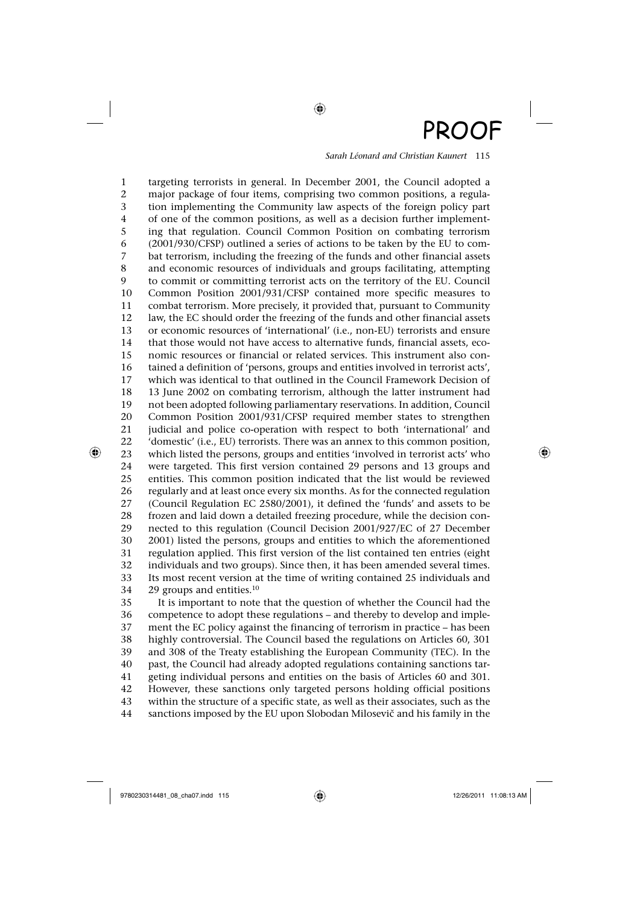*Sarah Léonard and Christian Kaunert* 115

targeting terrorists in general. In December 2001, the Council adopted a major package of four items, comprising two common positions, a regulation implementing the Community law aspects of the foreign policy part of one of the common positions, as well as a decision further implementing that regulation. Council Common Position on combating terrorism (2001/930/CFSP) outlined a series of actions to be taken by the EU to combat terrorism, including the freezing of the funds and other financial assets and economic resources of individuals and groups facilitating, attempting to commit or committing terrorist acts on the territory of the EU. Council Common Position 2001/931/CFSP contained more specific measures to combat terrorism. More precisely, it provided that, pursuant to Community law, the EC should order the freezing of the funds and other financial assets or economic resources of 'international' (i.e., non-EU) terrorists and ensure that those would not have access to alternative funds, financial assets, economic resources or financial or related services. This instrument also contained a definition of 'persons, groups and entities involved in terrorist acts', which was identical to that outlined in the Council Framework Decision of 13 June 2002 on combating terrorism, although the latter instrument had not been adopted following parliamentary reservations. In addition, Council Common Position 2001/931/CFSP required member states to strengthen judicial and police co-operation with respect to both 'international' and 'domestic' (i.e., EU) terrorists. There was an annex to this common position, which listed the persons, groups and entities 'involved in terrorist acts' who were targeted. This first version contained 29 persons and 13 groups and entities. This common position indicated that the list would be reviewed regularly and at least once every six months. As for the connected regulation (Council Regulation EC 2580/2001), it defined the 'funds' and assets to be frozen and laid down a detailed freezing procedure, while the decision connected to this regulation (Council Decision 2001/927/EC of 27 December 2001) listed the persons, groups and entities to which the aforementioned regulation applied. This first version of the list contained ten entries (eight individuals and two groups). Since then, it has been amended several times. Its most recent version at the time of writing contained 25 individuals and 29 groups and entities.<sup>10</sup> It is important to note that the question of whether the Council had the competence to adopt these regulations – and thereby to develop and implement the EC policy against the financing of terrorism in practice – has been 1 2 3 4 5 6 7 8 **9** 10 11 12 13 14 15 16 17 18 19 20 21 22 23 24 25 26 27 28  $29$ 30 31 32 33 34 35 36 37

⊕

highly controversial. The Council based the regulations on Articles 60, 301 and 308 of the Treaty establishing the European Community (TEC). In the past, the Council had already adopted regulations containing sanctions targeting individual persons and entities on the basis of Articles 60 and 301. However, these sanctions only targeted persons holding official positions within the structure of a specific state, as well as their associates, such as the sanctions imposed by the EU upon Slobodan Milosevič and his family in the 38 39 40 41 42 43 44

◈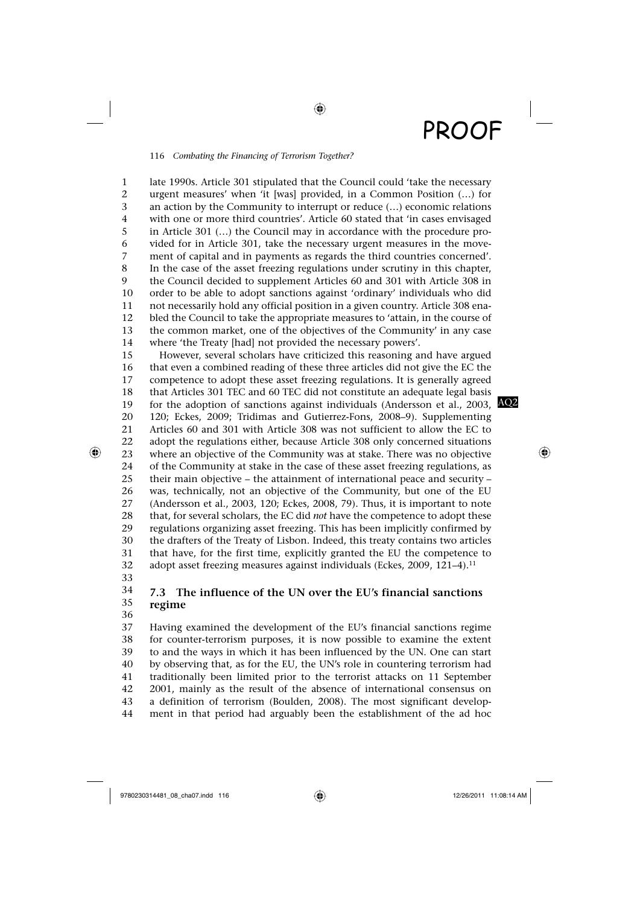PROOF

#### 116 *Combating the Financing of Terrorism Together?*

late 1990s. Article 301 stipulated that the Council could 'take the necessary urgent measures' when 'it [was] provided, in a Common Position (…) for an action by the Community to interrupt or reduce (…) economic relations with one or more third countries'. Article 60 stated that 'in cases envisaged in Article 301 (…) the Council may in accordance with the procedure provided for in Article 301, take the necessary urgent measures in the movement of capital and in payments as regards the third countries concerned'. In the case of the asset freezing regulations under scrutiny in this chapter, the Council decided to supplement Articles 60 and 301 with Article 308 in order to be able to adopt sanctions against 'ordinary' individuals who did not necessarily hold any official position in a given country. Article 308 enabled the Council to take the appropriate measures to 'attain, in the course of the common market, one of the objectives of the Community' in any case where 'the Treaty [had] not provided the necessary powers'. 1  $\overline{2}$ 3 4 5 6 7 8  $\mathbf Q$ 10 11 12 13 14

⊕

However, several scholars have criticized this reasoning and have argued that even a combined reading of these three articles did not give the EC the competence to adopt these asset freezing regulations. It is generally agreed that Articles 301 TEC and 60 TEC did not constitute an adequate legal basis for the adoption of sanctions against individuals (Andersson et al., 2003, **AQ2** 120; Eckes, 2009; Tridimas and Gutierrez-Fons, 2008–9). Supplementing Articles 60 and 301 with Article 308 was not sufficient to allow the EC to adopt the regulations either, because Article 308 only concerned situations where an objective of the Community was at stake. There was no objective of the Community at stake in the case of these asset freezing regulations, as their main objective – the attainment of international peace and security – was, technically, not an objective of the Community, but one of the EU (Andersson et al., 2003, 120; Eckes, 2008, 79). Thus, it is important to note that, for several scholars, the EC did *not* have the competence to adopt these regulations organizing asset freezing. This has been implicitly confirmed by the drafters of the Treaty of Lisbon. Indeed, this treaty contains two articles that have, for the first time, explicitly granted the EU the competence to adopt asset freezing measures against individuals (Eckes, 2009, 121-4).<sup>11</sup> 15 16 17 18 19 20 21 22 23 24 25 26 27 28 29 30 31 32 33

#### **7.3 The influence of the UN over the EU's financial sanctions regime** 34 35

Having examined the development of the EU's financial sanctions regime for counter-terrorism purposes, it is now possible to examine the extent to and the ways in which it has been influenced by the UN. One can start by observing that, as for the EU, the UN's role in countering terrorism had traditionally been limited prior to the terrorist attacks on 11 September 2001, mainly as the result of the absence of international consensus on a definition of terrorism (Boulden, 2008). The most significant development in that period had arguably been the establishment of the ad hoc 37 38 39 40 41 42 43 44

36

9780230314481\_08\_cha07.indd 116 780230314481\_08\_cha07.indd 116 780230314481\_08\_cha07.indd 116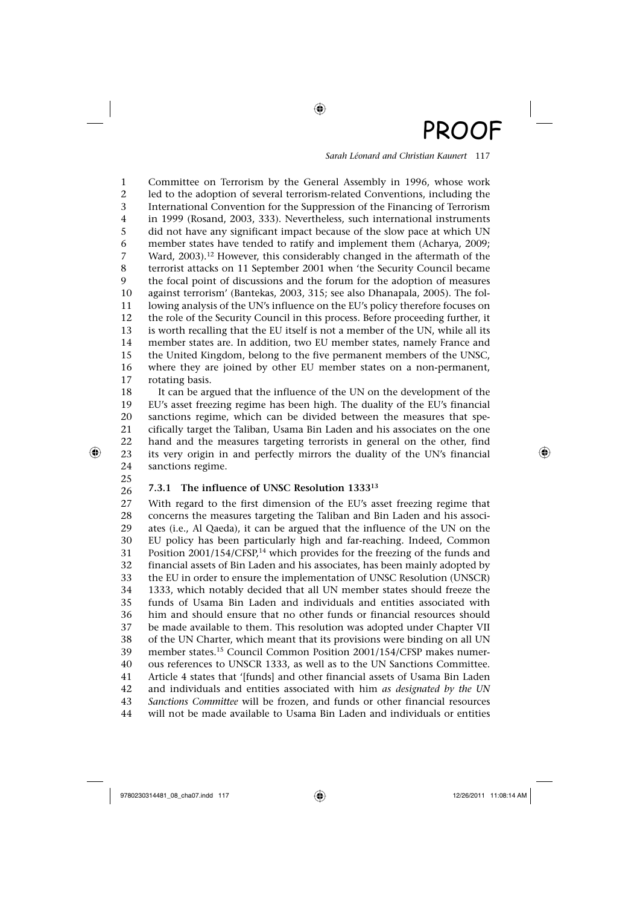#### *Sarah Léonard and Christian Kaunert* 117

Committee on Terrorism by the General Assembly in 1996, whose work led to the adoption of several terrorism-related Conventions, including the International Convention for the Suppression of the Financing of Terrorism in 1999 (Rosand, 2003, 333). Nevertheless, such international instruments did not have any significant impact because of the slow pace at which UN member states have tended to ratify and implement them (Acharya, 2009; Ward, 2003).<sup>12</sup> However, this considerably changed in the aftermath of the terrorist attacks on 11 September 2001 when 'the Security Council became the focal point of discussions and the forum for the adoption of measures against terrorism' (Bantekas, 2003, 315; see also Dhanapala, 2005). The following analysis of the UN's influence on the EU's policy therefore focuses on the role of the Security Council in this process. Before proceeding further, it is worth recalling that the EU itself is not a member of the UN, while all its member states are. In addition, two EU member states, namely France and the United Kingdom, belong to the five permanent members of the UNSC, where they are joined by other EU member states on a non-permanent, rotating basis. 1 2 3 4 5 6 7 8 **9** 10 11 12 13 14 15 16 17

⊕

It can be argued that the influence of the UN on the development of the EU's asset freezing regime has been high. The duality of the EU's financial sanctions regime, which can be divided between the measures that specifically target the Taliban, Usama Bin Laden and his associates on the one hand and the measures targeting terrorists in general on the other, find its very origin in and perfectly mirrors the duality of the UN's financial sanctions regime. 18 19 20 21 22 23 24 25

#### **7.3.1 The influence of UNSC Resolution 133313** 26

With regard to the first dimension of the EU's asset freezing regime that concerns the measures targeting the Taliban and Bin Laden and his associates (i.e., Al Qaeda), it can be argued that the influence of the UN on the EU policy has been particularly high and far-reaching. Indeed, Common Position 2001/154/CFSP,<sup>14</sup> which provides for the freezing of the funds and financial assets of Bin Laden and his associates, has been mainly adopted by the EU in order to ensure the implementation of UNSC Resolution (UNSCR) 1333, which notably decided that all UN member states should freeze the funds of Usama Bin Laden and individuals and entities associated with him and should ensure that no other funds or financial resources should be made available to them. This resolution was adopted under Chapter VII of the UN Charter, which meant that its provisions were binding on all UN member states.15 Council Common Position 2001/154/CFSP makes numerous references to UNSCR 1333, as well as to the UN Sanctions Committee. Article 4 states that '[funds] and other financial assets of Usama Bin Laden and individuals and entities associated with him *as designated by the UN Sanctions Committee* will be frozen, and funds or other financial resources will not be made available to Usama Bin Laden and individuals or entities 27 28  $29$ 30 31 32 33 34 35 36 37 38 39 40 41 42 43 44

9780230314481\_08\_cha07.indd 117 **780230314481\_08\_cha07.indd** 117 **780230314481\_08**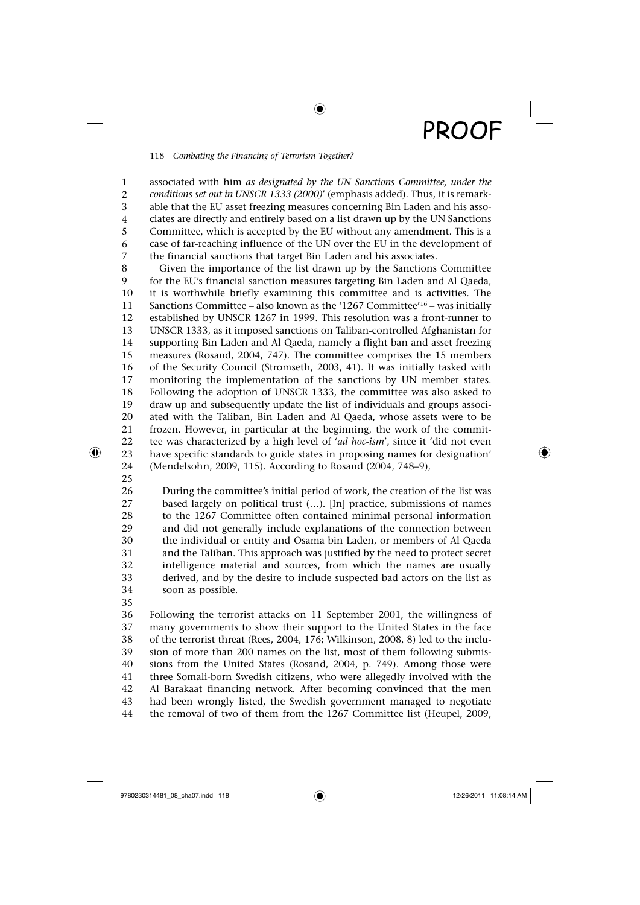#### 118 *Combating the Financing of Terrorism Together?*

associated with him *as designated by the UN Sanctions Committee, under the conditions set out in UNSCR 1333 (2000)*' (emphasis added). Thus, it is remarkable that the EU asset freezing measures concerning Bin Laden and his associates are directly and entirely based on a list drawn up by the UN Sanctions Committee, which is accepted by the EU without any amendment. This is a case of far-reaching influence of the UN over the EU in the development of the financial sanctions that target Bin Laden and his associates. 1  $\overline{2}$ 3 4 5 6 7

⊕

Given the importance of the list drawn up by the Sanctions Committee for the EU's financial sanction measures targeting Bin Laden and Al Qaeda, it is worthwhile briefly examining this committee and is activities. The Sanctions Committee – also known as the '1267 Committee'16 – was initially established by UNSCR 1267 in 1999. This resolution was a front-runner to UNSCR 1333, as it imposed sanctions on Taliban-controlled Afghanistan for supporting Bin Laden and Al Qaeda, namely a flight ban and asset freezing measures (Rosand, 2004, 747). The committee comprises the 15 members of the Security Council (Stromseth, 2003, 41). It was initially tasked with monitoring the implementation of the sanctions by UN member states. Following the adoption of UNSCR 1333, the committee was also asked to draw up and subsequently update the list of individuals and groups associated with the Taliban, Bin Laden and Al Qaeda, whose assets were to be frozen. However, in particular at the beginning, the work of the committee was characterized by a high level of '*ad hoc-ism*', since it 'did not even have specific standards to guide states in proposing names for designation' (Mendelsohn, 2009, 115). According to Rosand (2004, 748–9), 8  $\mathbf Q$ 10 11 12 13 14 15 16 17 18 19 20 21 22 23 24 25

During the committee's initial period of work, the creation of the list was based largely on political trust (…). [In] practice, submissions of names to the 1267 Committee often contained minimal personal information and did not generally include explanations of the connection between the individual or entity and Osama bin Laden, or members of Al Qaeda and the Taliban. This approach was justified by the need to protect secret intelligence material and sources, from which the names are usually derived, and by the desire to include suspected bad actors on the list as soon as possible. 26 27 28 29 30 31 32 33 34

35

◈

Following the terrorist attacks on 11 September 2001, the willingness of many governments to show their support to the United States in the face of the terrorist threat (Rees, 2004, 176; Wilkinson, 2008, 8) led to the inclusion of more than 200 names on the list, most of them following submissions from the United States (Rosand, 2004, p. 749). Among those were three Somali-born Swedish citizens, who were allegedly involved with the Al Barakaat financing network. After becoming convinced that the men had been wrongly listed, the Swedish government managed to negotiate the removal of two of them from the 1267 Committee list (Heupel, 2009, 36 37 38 39 40 41 42 43 44

◈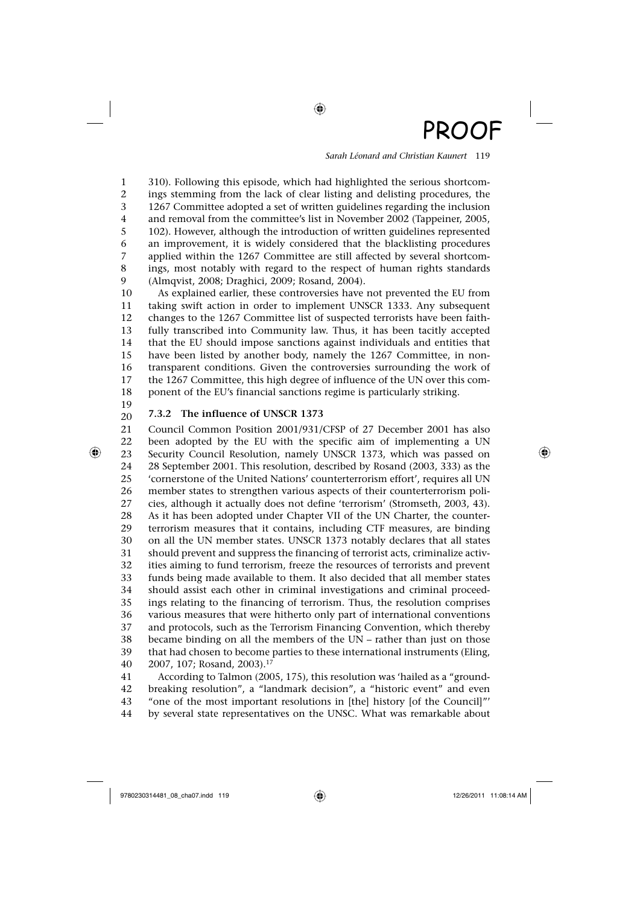#### *Sarah Léonard and Christian Kaunert* 119

310). Following this episode, which had highlighted the serious shortcomings stemming from the lack of clear listing and delisting procedures, the 1267 Committee adopted a set of written guidelines regarding the inclusion and removal from the committee's list in November 2002 (Tappeiner, 2005, 102). However, although the introduction of written guidelines represented an improvement, it is widely considered that the blacklisting procedures applied within the 1267 Committee are still affected by several shortcomings, most notably with regard to the respect of human rights standards (Almqvist, 2008; Draghici, 2009; Rosand, 2004). 1 2 3 4 5 6 7 8 9

⊕

As explained earlier, these controversies have not prevented the EU from taking swift action in order to implement UNSCR 1333. Any subsequent changes to the 1267 Committee list of suspected terrorists have been faithfully transcribed into Community law. Thus, it has been tacitly accepted that the EU should impose sanctions against individuals and entities that have been listed by another body, namely the 1267 Committee, in nontransparent conditions. Given the controversies surrounding the work of the 1267 Committee, this high degree of influence of the UN over this component of the EU's financial sanctions regime is particularly striking. 10 11 12 13 14 15 16 17 18

### 19

◈

#### **7.3.2 The influence of UNSCR 1373** 20

Council Common Position 2001/931/CFSP of 27 December 2001 has also been adopted by the EU with the specific aim of implementing a UN Security Council Resolution, namely UNSCR 1373, which was passed on 28 September 2001. This resolution, described by Rosand (2003, 333) as the 'cornerstone of the United Nations' counterterrorism effort', requires all UN member states to strengthen various aspects of their counterterrorism policies, although it actually does not define 'terrorism' (Stromseth, 2003, 43). As it has been adopted under Chapter VII of the UN Charter, the counterterrorism measures that it contains, including CTF measures, are binding on all the UN member states. UNSCR 1373 notably declares that all states should prevent and suppress the financing of terrorist acts, criminalize activities aiming to fund terrorism, freeze the resources of terrorists and prevent funds being made available to them. It also decided that all member states should assist each other in criminal investigations and criminal proceedings relating to the financing of terrorism. Thus, the resolution comprises various measures that were hitherto only part of international conventions and protocols, such as the Terrorism Financing Convention, which thereby became binding on all the members of the UN – rather than just on those that had chosen to become parties to these international instruments (Eling, 2007, 107; Rosand, 2003).17 21 22 23 24 25 26 27 28  $29$ 30 31 32 33 34 35 36 37 38 39 40

According to Talmon (2005, 175), this resolution was 'hailed as a "groundbreaking resolution", a "landmark decision", a "historic event" and even "one of the most important resolutions in [the] history [of the Council]"' by several state representatives on the UNSC. What was remarkable about 41 42 43 44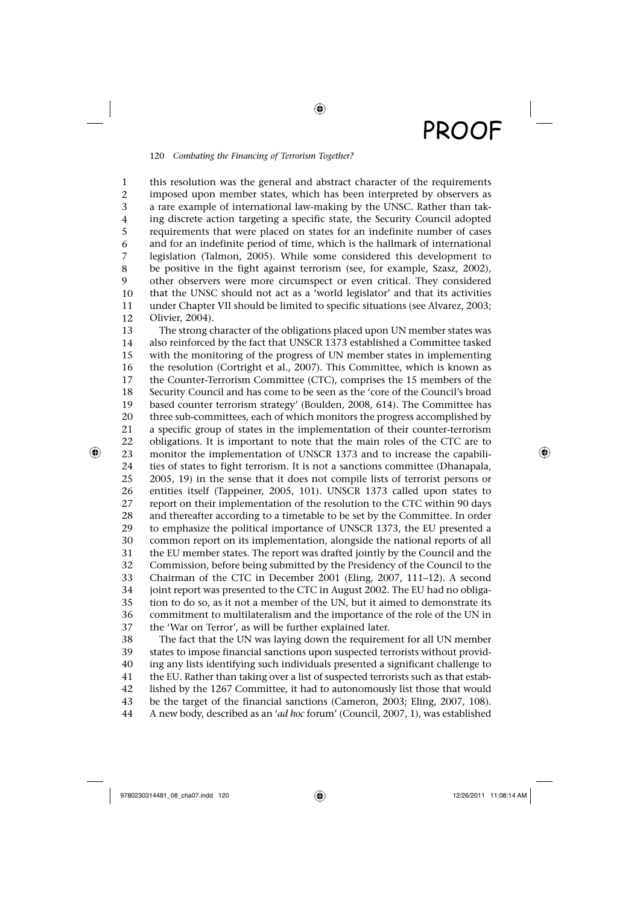#### 120 *Combating the Financing of Terrorism Together?*

this resolution was the general and abstract character of the requirements imposed upon member states, which has been interpreted by observers as a rare example of international law-making by the UNSC. Rather than taking discrete action targeting a specific state, the Security Council adopted requirements that were placed on states for an indefinite number of cases and for an indefinite period of time, which is the hallmark of international legislation (Talmon, 2005). While some considered this development to be positive in the fight against terrorism (see, for example, Szasz, 2002), other observers were more circumspect or even critical. They considered that the UNSC should not act as a 'world legislator' and that its activities under Chapter VII should be limited to specific situations (see Alvarez, 2003; Olivier, 2004). 1  $\overline{2}$ 3 4 5 6 7 8  $\mathbf Q$ 10 11 12

⊕

The strong character of the obligations placed upon UN member states was also reinforced by the fact that UNSCR 1373 established a Committee tasked with the monitoring of the progress of UN member states in implementing the resolution (Cortright et al., 2007). This Committee, which is known as the Counter-Terrorism Committee (CTC), comprises the 15 members of the Security Council and has come to be seen as the 'core of the Council's broad based counter terrorism strategy' (Boulden, 2008, 614). The Committee has three sub-committees, each of which monitors the progress accomplished by a specific group of states in the implementation of their counter-terrorism obligations. It is important to note that the main roles of the CTC are to monitor the implementation of UNSCR 1373 and to increase the capabilities of states to fight terrorism. It is not a sanctions committee (Dhanapala, 2005, 19) in the sense that it does not compile lists of terrorist persons or entities itself (Tappeiner, 2005, 101). UNSCR 1373 called upon states to report on their implementation of the resolution to the CTC within 90 days and thereafter according to a timetable to be set by the Committee. In order to emphasize the political importance of UNSCR 1373, the EU presented a common report on its implementation, alongside the national reports of all the EU member states. The report was drafted jointly by the Council and the Commission, before being submitted by the Presidency of the Council to the Chairman of the CTC in December 2001 (Eling, 2007, 111–12). A second joint report was presented to the CTC in August 2002. The EU had no obligation to do so, as it not a member of the UN, but it aimed to demonstrate its commitment to multilateralism and the importance of the role of the UN in the 'War on Terror', as will be further explained later. The fact that the UN was laying down the requirement for all UN member 13 14 15 16 17 18 19 20 21 22 23 24 25 26 27 28 29 30 31 32 33 34 35 36 37 38

states to impose financial sanctions upon suspected terrorists without providing any lists identifying such individuals presented a significant challenge to the EU. Rather than taking over a list of suspected terrorists such as that established by the 1267 Committee, it had to autonomously list those that would be the target of the financial sanctions (Cameron, 2003; Eling, 2007, 108). A new body, described as an '*ad hoc* forum' (Council, 2007, 1), was established 39 40 41 42 43 44

⊕

◈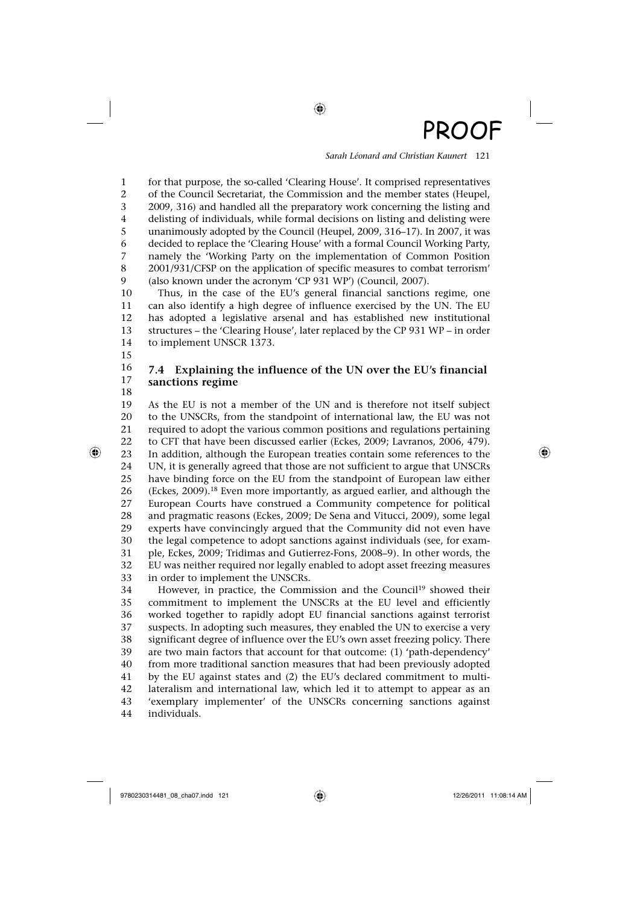#### *Sarah Léonard and Christian Kaunert* 121

for that purpose, the so-called 'Clearing House'. It comprised representatives of the Council Secretariat, the Commission and the member states (Heupel, 2009, 316) and handled all the preparatory work concerning the listing and delisting of individuals, while formal decisions on listing and delisting were unanimously adopted by the Council (Heupel, 2009, 316–17). In 2007, it was decided to replace the 'Clearing House' with a formal Council Working Party, namely the 'Working Party on the implementation of Common Position 2001/931/CFSP on the application of specific measures to combat terrorism' (also known under the acronym 'CP 931 WP') (Council, 2007). 1 2 3 4 5 6 7 8 9

⊕

Thus, in the case of the EU's general financial sanctions regime, one can also identify a high degree of influence exercised by the UN. The EU has adopted a legislative arsenal and has established new institutional structures – the 'Clearing House', later replaced by the CP 931 WP – in order to implement UNSCR 1373. 10 11 12 13 14

#### **7.4 Explaining the influence of the UN over the EU's financial sanctions regime** 16 17

As the EU is not a member of the UN and is therefore not itself subject to the UNSCRs, from the standpoint of international law, the EU was not required to adopt the various common positions and regulations pertaining to CFT that have been discussed earlier (Eckes, 2009; Lavranos, 2006, 479). In addition, although the European treaties contain some references to the UN, it is generally agreed that those are not sufficient to argue that UNSCRs have binding force on the EU from the standpoint of European law either (Eckes, 2009).18 Even more importantly, as argued earlier, and although the European Courts have construed a Community competence for political and pragmatic reasons (Eckes, 2009; De Sena and Vitucci, 2009), some legal experts have convincingly argued that the Community did not even have the legal competence to adopt sanctions against individuals (see, for example, Eckes, 2009; Tridimas and Gutierrez-Fons, 2008–9). In other words, the EU was neither required nor legally enabled to adopt asset freezing measures in order to implement the UNSCRs. 19 20 21 22 23 24 25 26 27 28 29 30 31 32 33

However, in practice, the Commission and the Council<sup>19</sup> showed their commitment to implement the UNSCRs at the EU level and efficiently worked together to rapidly adopt EU financial sanctions against terrorist suspects. In adopting such measures, they enabled the UN to exercise a very significant degree of influence over the EU's own asset freezing policy. There are two main factors that account for that outcome: (1) 'path- dependency' from more traditional sanction measures that had been previously adopted by the EU against states and (2) the EU's declared commitment to multilateralism and international law, which led it to attempt to appear as an 'exemplary implementer' of the UNSCRs concerning sanctions against individuals. 34 35 36 37 38 39 40 41 42 43 44

15

18

◈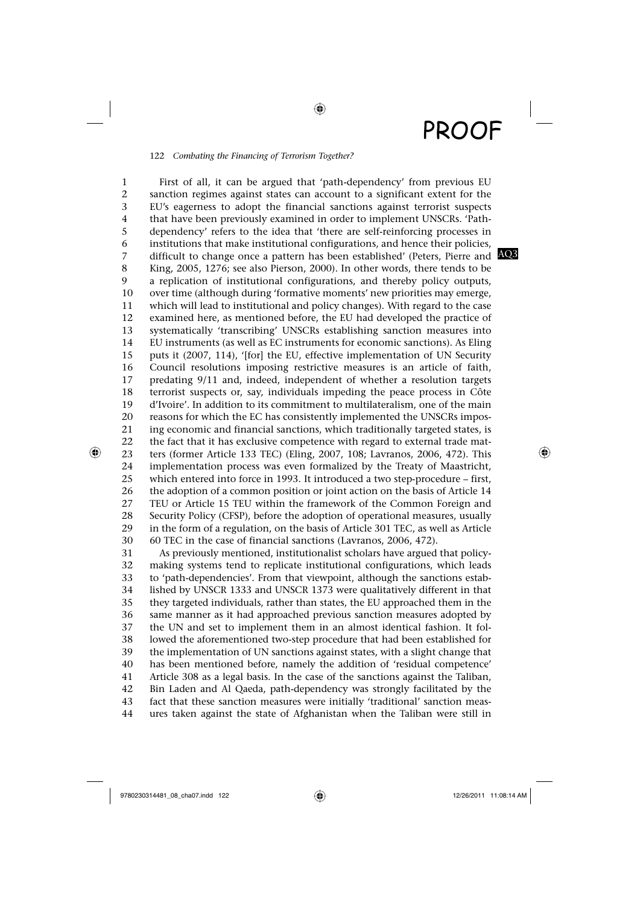#### 122 *Combating the Financing of Terrorism Together?*

First of all, it can be argued that 'path-dependency' from previous EU sanction regimes against states can account to a significant extent for the EU's eagerness to adopt the financial sanctions against terrorist suspects that have been previously examined in order to implement UNSCRs. 'Pathdependency' refers to the idea that 'there are self-reinforcing processes in institutions that make institutional configurations, and hence their policies, difficult to change once a pattern has been established' (Peters, Pierre and AQ3 King, 2005, 1276; see also Pierson, 2000). In other words, there tends to be a replication of institutional configurations, and thereby policy outputs, over time (although during 'formative moments' new priorities may emerge, which will lead to institutional and policy changes). With regard to the case examined here, as mentioned before, the EU had developed the practice of systematically 'transcribing' UNSCRs establishing sanction measures into EU instruments (as well as EC instruments for economic sanctions). As Eling puts it (2007, 114), '[for] the EU, effective implementation of UN Security Council resolutions imposing restrictive measures is an article of faith, predating 9/11 and, indeed, independent of whether a resolution targets terrorist suspects or, say, individuals impeding the peace process in Côte d'Ivoire'. In addition to its commitment to multilateralism, one of the main reasons for which the EC has consistently implemented the UNSCRs imposing economic and financial sanctions, which traditionally targeted states, is the fact that it has exclusive competence with regard to external trade matters (former Article 133 TEC) (Eling, 2007, 108; Lavranos, 2006, 472). This implementation process was even formalized by the Treaty of Maastricht, which entered into force in 1993. It introduced a two step-procedure – first, the adoption of a common position or joint action on the basis of Article 14 TEU or Article 15 TEU within the framework of the Common Foreign and Security Policy (CFSP), before the adoption of operational measures, usually in the form of a regulation, on the basis of Article 301 TEC, as well as Article 60 TEC in the case of financial sanctions (Lavranos, 2006, 472). 1 2 3 4 5 6 7 8  $\mathbf Q$ 10 11 12 13 14 15 16 17 18 19 20 21 22 23 24 25 26 27 28 29 30

⊕

As previously mentioned, institutionalist scholars have argued that policymaking systems tend to replicate institutional configurations, which leads to 'path-dependencies'. From that viewpoint, although the sanctions established by UNSCR 1333 and UNSCR 1373 were qualitatively different in that they targeted individuals, rather than states, the EU approached them in the same manner as it had approached previous sanction measures adopted by the UN and set to implement them in an almost identical fashion. It followed the aforementioned two-step procedure that had been established for the implementation of UN sanctions against states, with a slight change that has been mentioned before, namely the addition of 'residual competence' Article 308 as a legal basis. In the case of the sanctions against the Taliban, Bin Laden and Al Qaeda, path-dependency was strongly facilitated by the fact that these sanction measures were initially 'traditional' sanction measures taken against the state of Afghanistan when the Taliban were still in 31 32 33 34 35 36 37 38 39 40 41 42 43 44

◈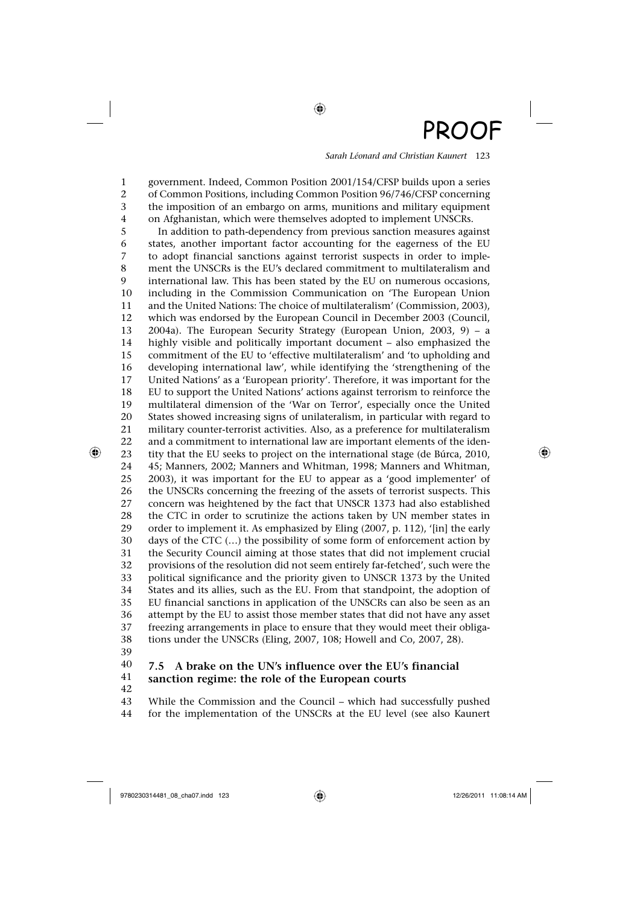*Sarah Léonard and Christian Kaunert* 123

government. Indeed, Common Position 2001/154/CFSP builds upon a series of Common Positions, including Common Position 96/746/CFSP concerning the imposition of an embargo on arms, munitions and military equipment on Afghanistan, which were themselves adopted to implement UNSCRs. In addition to path-dependency from previous sanction measures against states, another important factor accounting for the eagerness of the EU to adopt financial sanctions against terrorist suspects in order to implement the UNSCRs is the EU's declared commitment to multilateralism and international law. This has been stated by the EU on numerous occasions, including in the Commission Communication on 'The European Union and the United Nations: The choice of multilateralism' (Commission, 2003), which was endorsed by the European Council in December 2003 (Council, 2004a). The European Security Strategy (European Union, 2003, 9) – a highly visible and politically important document – also emphasized the commitment of the EU to 'effective multilateralism' and 'to upholding and developing international law', while identifying the 'strengthening of the United Nations' as a 'European priority'. Therefore, it was important for the EU to support the United Nations' actions against terrorism to reinforce the multilateral dimension of the 'War on Terror', especially once the United States showed increasing signs of unilateralism, in particular with regard to military counter-terrorist activities. Also, as a preference for multilateralism and a commitment to international law are important elements of the identity that the EU seeks to project on the international stage (de Búrca, 2010, 45; Manners, 2002; Manners and Whitman, 1998; Manners and Whitman, 2003), it was important for the EU to appear as a 'good implementer' of the UNSCRs concerning the freezing of the assets of terrorist suspects. This concern was heightened by the fact that UNSCR 1373 had also established the CTC in order to scrutinize the actions taken by UN member states in order to implement it. As emphasized by Eling (2007, p. 112), '[in] the early days of the CTC (…) the possibility of some form of enforcement action by the Security Council aiming at those states that did not implement crucial provisions of the resolution did not seem entirely far-fetched', such were the political significance and the priority given to UNSCR 1373 by the United States and its allies, such as the EU. From that standpoint, the adoption of EU financial sanctions in application of the UNSCRs can also be seen as an attempt by the EU to assist those member states that did not have any asset freezing arrangements in place to ensure that they would meet their obligations under the UNSCRs (Eling, 2007, 108; Howell and Co, 2007, 28). 1 2 3 4 5 6 7 8 **9** 10 11 12 13 14 15 16 17 18 19 20 21 22 23 24 25 26 27 28 29 30 31 32 33 34 35 36 37 38 39

⊕

#### **7.5 A brake on the UN's influence over the EU's financial sanction regime: the role of the European courts** 40 41

42

◈

While the Commission and the Council – which had successfully pushed for the implementation of the UNSCRs at the EU level (see also Kaunert 43 44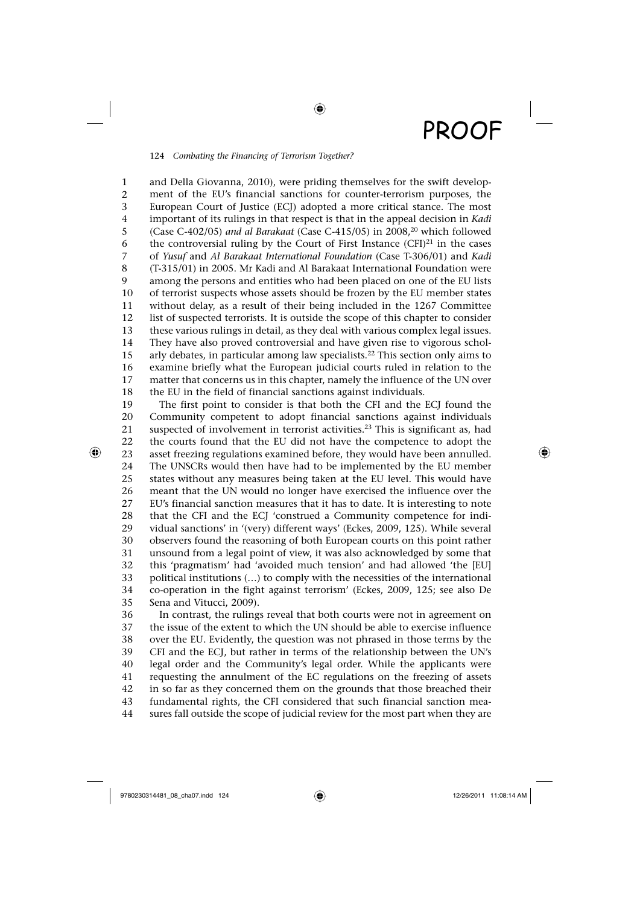#### 124 *Combating the Financing of Terrorism Together?*

and Della Giovanna, 2010), were priding themselves for the swift development of the EU's financial sanctions for counter-terrorism purposes, the European Court of Justice (ECJ) adopted a more critical stance. The most important of its rulings in that respect is that in the appeal decision in *Kadi* (Case C-402/05) *and al Barakaat* (Case C-415/05) in 2008,20 which followed the controversial ruling by the Court of First Instance  $(CFI)^{21}$  in the cases of *Yusuf* and *Al Barakaat International Foundation* (Case T-306/01) and *Kadi* (T-315/01) in 2005. Mr Kadi and Al Barakaat International Foundation were among the persons and entities who had been placed on one of the EU lists of terrorist suspects whose assets should be frozen by the EU member states without delay, as a result of their being included in the 1267 Committee list of suspected terrorists. It is outside the scope of this chapter to consider these various rulings in detail, as they deal with various complex legal issues. They have also proved controversial and have given rise to vigorous scholarly debates, in particular among law specialists.22 This section only aims to examine briefly what the European judicial courts ruled in relation to the matter that concerns us in this chapter, namely the influence of the UN over the EU in the field of financial sanctions against individuals. 1  $\overline{2}$ 3 4 5 6 7 8  $\mathbf Q$ 10 11 12 13 14 15 16 17 18

⊕

The first point to consider is that both the CFI and the ECJ found the Community competent to adopt financial sanctions against individuals suspected of involvement in terrorist activities.<sup>23</sup> This is significant as, had the courts found that the EU did not have the competence to adopt the asset freezing regulations examined before, they would have been annulled. The UNSCRs would then have had to be implemented by the EU member states without any measures being taken at the EU level. This would have meant that the UN would no longer have exercised the influence over the EU's financial sanction measures that it has to date. It is interesting to note that the CFI and the ECJ 'construed a Community competence for individual sanctions' in '(very) different ways' (Eckes, 2009, 125). While several observers found the reasoning of both European courts on this point rather unsound from a legal point of view, it was also acknowledged by some that this 'pragmatism' had 'avoided much tension' and had allowed 'the [EU] political institutions (…) to comply with the necessities of the international co-operation in the fight against terrorism' (Eckes, 2009, 125; see also De Sena and Vitucci, 2009). 19 20 21 22 23 24 25 26 27 28 29 30 31 32 33 34 35

In contrast, the rulings reveal that both courts were not in agreement on the issue of the extent to which the UN should be able to exercise influence over the EU. Evidently, the question was not phrased in those terms by the CFI and the ECJ, but rather in terms of the relationship between the UN's legal order and the Community's legal order. While the applicants were requesting the annulment of the EC regulations on the freezing of assets in so far as they concerned them on the grounds that those breached their fundamental rights, the CFI considered that such financial sanction measures fall outside the scope of judicial review for the most part when they are 36 37 38 39 40 41 42 43 44

◈

◈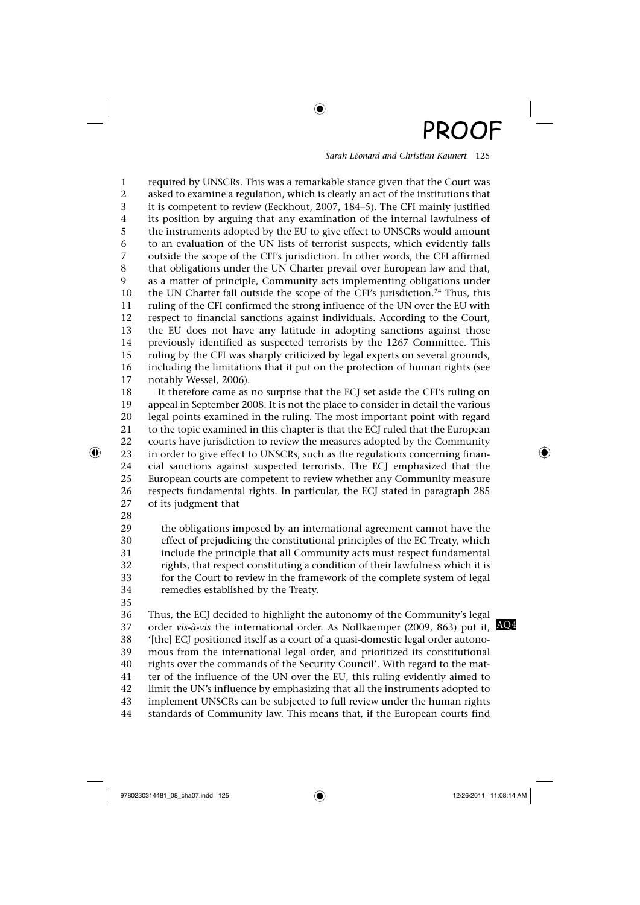*Sarah Léonard and Christian Kaunert* 125

required by UNSCRs. This was a remarkable stance given that the Court was asked to examine a regulation, which is clearly an act of the institutions that it is competent to review (Eeckhout, 2007, 184–5). The CFI mainly justified its position by arguing that any examination of the internal lawfulness of the instruments adopted by the EU to give effect to UNSCRs would amount to an evaluation of the UN lists of terrorist suspects, which evidently falls outside the scope of the CFI's jurisdiction. In other words, the CFI affirmed that obligations under the UN Charter prevail over European law and that, as a matter of principle, Community acts implementing obligations under the UN Charter fall outside the scope of the CFI's jurisdiction.<sup>24</sup> Thus, this ruling of the CFI confirmed the strong influence of the UN over the EU with respect to financial sanctions against individuals. According to the Court, the EU does not have any latitude in adopting sanctions against those previously identified as suspected terrorists by the 1267 Committee. This ruling by the CFI was sharply criticized by legal experts on several grounds, including the limitations that it put on the protection of human rights (see notably Wessel, 2006). 1 2 3 4 5 6 7 8 9 10 11 12 13 14 15 16 17

⊕

It therefore came as no surprise that the ECJ set aside the CFI's ruling on appeal in September 2008. It is not the place to consider in detail the various legal points examined in the ruling. The most important point with regard to the topic examined in this chapter is that the ECJ ruled that the European courts have jurisdiction to review the measures adopted by the Community in order to give effect to UNSCRs, such as the regulations concerning financial sanctions against suspected terrorists. The ECJ emphasized that the European courts are competent to review whether any Community measure respects fundamental rights. In particular, the ECJ stated in paragraph 285 of its judgment that 18 19 20 21 22 23 24 25 26 27

the obligations imposed by an international agreement cannot have the effect of prejudicing the constitutional principles of the EC Treaty, which include the principle that all Community acts must respect fundamental rights, that respect constituting a condition of their lawfulness which it is for the Court to review in the framework of the complete system of legal remedies established by the Treaty. 29 30 31 32 33 34

Thus, the ECJ decided to highlight the autonomy of the Community's legal order *vis-à-vis* the international order. As Nollkaemper (2009, 863) put it, '[the] ECJ positioned itself as a court of a quasi-domestic legal order autonomous from the international legal order, and prioritized its constitutional rights over the commands of the Security Council'. With regard to the matter of the influence of the UN over the EU, this ruling evidently aimed to limit the UN's influence by emphasizing that all the instruments adopted to implement UNSCRs can be subjected to full review under the human rights standards of Community law. This means that, if the European courts find AQ4 35 36 37 38 39 40 41 42 43 44

28

◈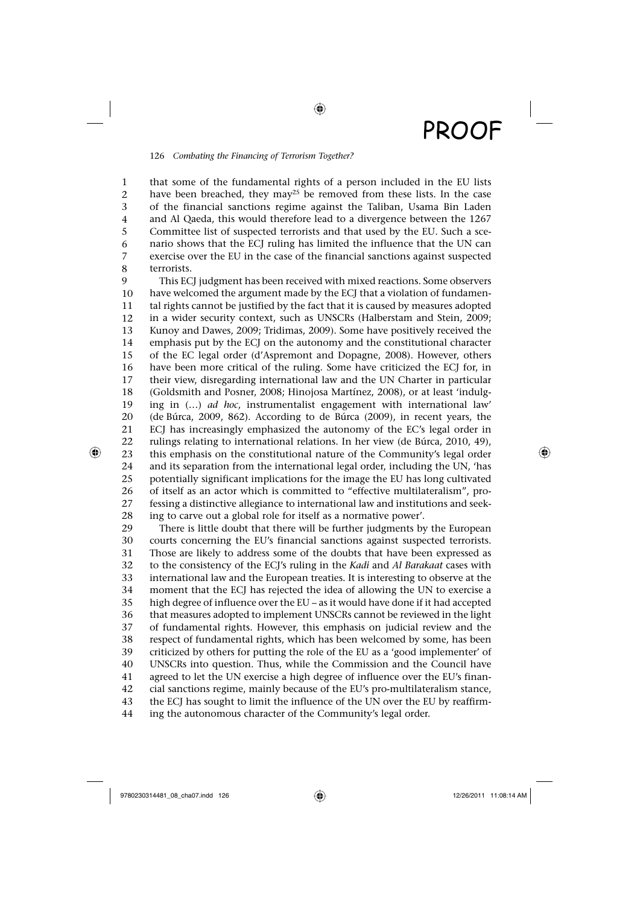#### 126 *Combating the Financing of Terrorism Together?*

that some of the fundamental rights of a person included in the EU lists have been breached, they may<sup>25</sup> be removed from these lists. In the case of the financial sanctions regime against the Taliban, Usama Bin Laden and Al Qaeda, this would therefore lead to a divergence between the 1267 Committee list of suspected terrorists and that used by the EU. Such a scenario shows that the ECJ ruling has limited the influence that the UN can exercise over the EU in the case of the financial sanctions against suspected terrorists. 1  $\overline{2}$ 3 4 5 6 7 8

⊕

This ECJ judgment has been received with mixed reactions. Some observers have welcomed the argument made by the ECJ that a violation of fundamental rights cannot be justified by the fact that it is caused by measures adopted in a wider security context, such as UNSCRs (Halberstam and Stein, 2009; Kunoy and Dawes, 2009; Tridimas, 2009). Some have positively received the emphasis put by the ECJ on the autonomy and the constitutional character of the EC legal order (d'Aspremont and Dopagne, 2008). However, others have been more critical of the ruling. Some have criticized the ECJ for, in their view, disregarding international law and the UN Charter in particular (Goldsmith and Posner, 2008; Hinojosa Martínez, 2008), or at least 'indulging in (…) *ad hoc*, instrumentalist engagement with international law' (de Búrca, 2009, 862). According to de Búrca (2009), in recent years, the ECJ has increasingly emphasized the autonomy of the EC's legal order in rulings relating to international relations. In her view (de Búrca, 2010, 49), this emphasis on the constitutional nature of the Community's legal order and its separation from the international legal order, including the UN, 'has potentially significant implications for the image the EU has long cultivated of itself as an actor which is committed to "effective multilateralism", professing a distinctive allegiance to international law and institutions and seeking to carve out a global role for itself as a normative power'.  $\mathbf Q$ 10 11 12 13 14 15 16 17 18 19 20 21 22 23 24 25 26 27 28

There is little doubt that there will be further judgments by the European courts concerning the EU's financial sanctions against suspected terrorists. Those are likely to address some of the doubts that have been expressed as to the consistency of the ECJ's ruling in the *Kadi* and *Al Barakaat* cases with international law and the European treaties. It is interesting to observe at the moment that the ECJ has rejected the idea of allowing the UN to exercise a high degree of influence over the EU – as it would have done if it had accepted that measures adopted to implement UNSCRs cannot be reviewed in the light of fundamental rights. However, this emphasis on judicial review and the respect of fundamental rights, which has been welcomed by some, has been criticized by others for putting the role of the EU as a 'good implementer' of UNSCRs into question. Thus, while the Commission and the Council have agreed to let the UN exercise a high degree of influence over the EU's financial sanctions regime, mainly because of the EU's pro-multilateralism stance, the ECJ has sought to limit the influence of the UN over the EU by reaffirming the autonomous character of the Community's legal order. 29 30 31 32 33 34 35 36 37 38 39 40 41 42 43 44

◈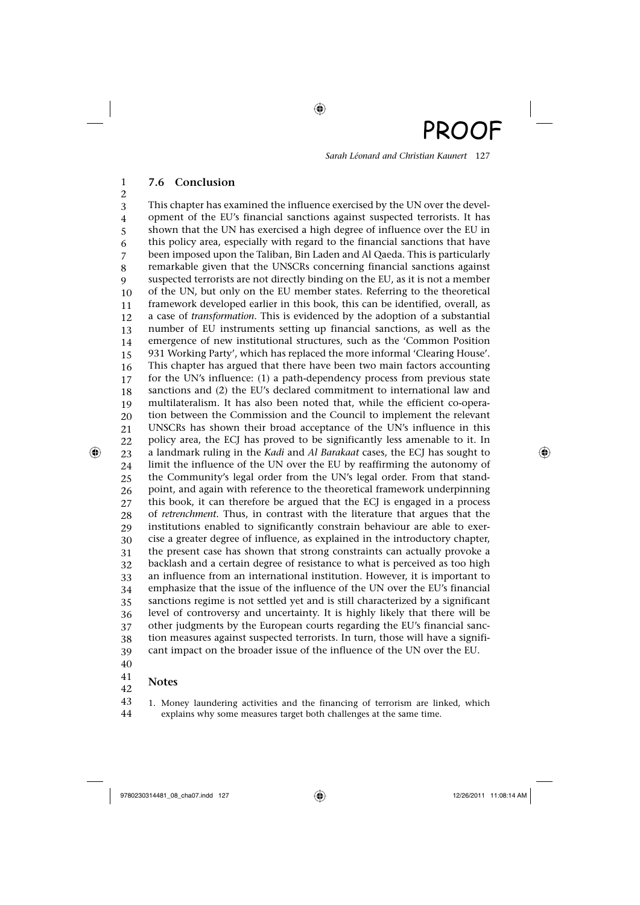*Sarah Léonard and Christian Kaunert* 127

#### **7.6 Conclusion** 1 2

This chapter has examined the influence exercised by the UN over the development of the EU's financial sanctions against suspected terrorists. It has shown that the UN has exercised a high degree of influence over the EU in this policy area, especially with regard to the financial sanctions that have been imposed upon the Taliban, Bin Laden and Al Qaeda. This is particularly remarkable given that the UNSCRs concerning financial sanctions against suspected terrorists are not directly binding on the EU, as it is not a member of the UN, but only on the EU member states. Referring to the theoretical framework developed earlier in this book, this can be identified, overall, as a case of *transformation*. This is evidenced by the adoption of a substantial number of EU instruments setting up financial sanctions, as well as the emergence of new institutional structures, such as the 'Common Position 931 Working Party', which has replaced the more informal 'Clearing House'. This chapter has argued that there have been two main factors accounting for the UN's influence: (1) a path-dependency process from previous state sanctions and (2) the EU's declared commitment to international law and multilateralism. It has also been noted that, while the efficient co-operation between the Commission and the Council to implement the relevant UNSCRs has shown their broad acceptance of the UN's influence in this policy area, the ECJ has proved to be significantly less amenable to it. In a landmark ruling in the *Kadi* and *Al Barakaat* cases, the ECJ has sought to limit the influence of the UN over the EU by reaffirming the autonomy of the Community's legal order from the UN's legal order. From that standpoint, and again with reference to the theoretical framework underpinning this book, it can therefore be argued that the ECJ is engaged in a process of *retrenchment*. Thus, in contrast with the literature that argues that the institutions enabled to significantly constrain behaviour are able to exercise a greater degree of influence, as explained in the introductory chapter, the present case has shown that strong constraints can actually provoke a backlash and a certain degree of resistance to what is perceived as too high an influence from an international institution. However, it is important to emphasize that the issue of the influence of the UN over the EU's financial sanctions regime is not settled yet and is still characterized by a significant level of controversy and uncertainty. It is highly likely that there will be other judgments by the European courts regarding the EU's financial sanction measures against suspected terrorists. In turn, those will have a significant impact on the broader issue of the influence of the UN over the EU. 3 4 5 6 7 8 9 10 11 12 13 14 15 16 17 18 19 20 21 22 23 24 25 26 27 28 29 30 31 32 33 34 35 36 37 38 39

⊕

40 41

◈

#### **Notes** 42

1. Money laundering activities and the financing of terrorism are linked, which explains why some measures target both challenges at the same time. 43 44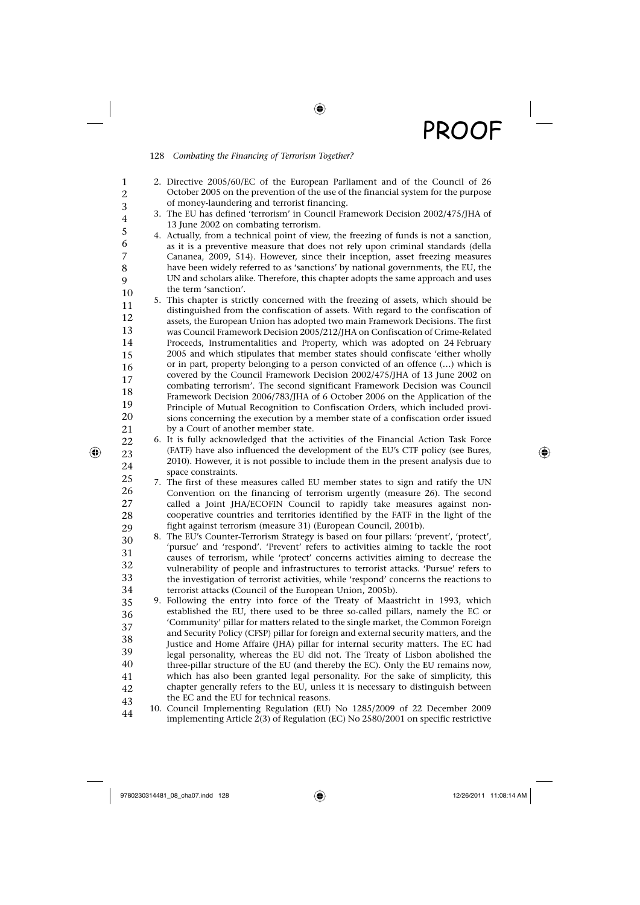⊕

## PROOF

#### 128 *Combating the Financing of Terrorism Together?*

 2. Directive 2005/60/EC of the European Parliament and of the Council of 26 October 2005 on the prevention of the use of the financial system for the purpose of money-laundering and terrorist financing.

 3. The EU has defined 'terrorism' in Council Framework Decision 2002/475/JHA of 13 June 2002 on combating terrorism.

 4. Actually, from a technical point of view, the freezing of funds is not a sanction, as it is a preventive measure that does not rely upon criminal standards (della Cananea, 2009, 514). However, since their inception, asset freezing measures have been widely referred to as 'sanctions' by national governments, the EU, the UN and scholars alike. Therefore, this chapter adopts the same approach and uses the term 'sanction'.

 5. This chapter is strictly concerned with the freezing of assets, which should be distinguished from the confiscation of assets. With regard to the confiscation of assets, the European Union has adopted two main Framework Decisions. The first was Council Framework Decision 2005/212/JHA on Confiscation of Crime-Related Proceeds, Instrumentalities and Property, which was adopted on 24 February 2005 and which stipulates that member states should confiscate 'either wholly or in part, property belonging to a person convicted of an offence (…) which is covered by the Council Framework Decision 2002/475/JHA of 13 June 2002 on combating terrorism'. The second significant Framework Decision was Council Framework Decision 2006/783/JHA of 6 October 2006 on the Application of the Principle of Mutual Recognition to Confiscation Orders, which included provisions concerning the execution by a member state of a confiscation order issued by a Court of another member state. 10 11 12 13 14 15 16 17 18 19 20 21

 6. It is fully acknowledged that the activities of the Financial Action Task Force (FATF) have also influenced the development of the EU's CTF policy (see Bures, 2010). However, it is not possible to include them in the present analysis due to space constraints.

 7. The first of these measures called EU member states to sign and ratify the UN Convention on the financing of terrorism urgently (measure 26). The second called a Joint JHA/ECOFIN Council to rapidly take measures against noncooperative countries and territories identified by the FATF in the light of the fight against terrorism (measure 31) (European Council, 2001b).

 8. The EU's Counter-Terrorism Strategy is based on four pillars: 'prevent', 'protect', 'pursue' and 'respond'. 'Prevent' refers to activities aiming to tackle the root causes of terrorism, while 'protect' concerns activities aiming to decrease the vulnerability of people and infrastructures to terrorist attacks. 'Pursue' refers to the investigation of terrorist activities, while 'respond' concerns the reactions to terrorist attacks (Council of the European Union, 2005b). 29 30 31 32 33 34

 9. Following the entry into force of the Treaty of Maastricht in 1993, which established the EU, there used to be three so-called pillars, namely the EC or 'Community' pillar for matters related to the single market, the Common Foreign and Security Policy (CFSP) pillar for foreign and external security matters, and the Justice and Home Affaire (JHA) pillar for internal security matters. The EC had legal personality, whereas the EU did not. The Treaty of Lisbon abolished the three-pillar structure of the EU (and thereby the EC). Only the EU remains now, which has also been granted legal personality. For the sake of simplicity, this chapter generally refers to the EU, unless it is necessary to distinguish between the EC and the EU for technical reasons. 35 36 37 38 39 40 41 42 43

10. Council Implementing Regulation (EU) No 1285/2009 of 22 December 2009 implementing Article 2(3) of Regulation (EC) No 2580/2001 on specific restrictive 44

9780230314481\_08\_cha07.indd 128 780230314481\_08\_cha07.indd 128 780230314481\_08\_cha07.indd 120

⊕

◈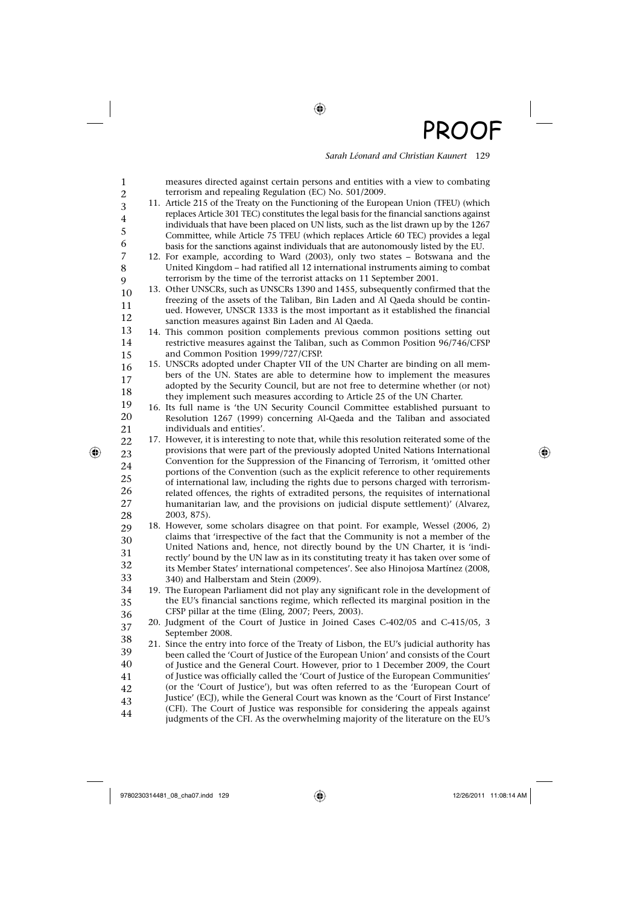# PROOF |-

#### *Sarah Léonard and Christian Kaunert* 129

| $\mathbf 1$      | measures directed against certain persons and entities with a view to combating                                                                                        |
|------------------|------------------------------------------------------------------------------------------------------------------------------------------------------------------------|
| $\boldsymbol{2}$ | terrorism and repealing Regulation (EC) No. 501/2009.                                                                                                                  |
| 3                | 11. Article 215 of the Treaty on the Functioning of the European Union (TFEU) (which                                                                                   |
| 4                | replaces Article 301 TEC) constitutes the legal basis for the financial sanctions against                                                                              |
| 5                | individuals that have been placed on UN lists, such as the list drawn up by the 1267                                                                                   |
| 6                | Committee, while Article 75 TFEU (which replaces Article 60 TEC) provides a legal                                                                                      |
| $\overline{7}$   | basis for the sanctions against individuals that are autonomously listed by the EU.<br>12. For example, according to Ward (2003), only two states – Botswana and the   |
| $\bf 8$          | United Kingdom – had ratified all 12 international instruments aiming to combat                                                                                        |
| 9                | terrorism by the time of the terrorist attacks on 11 September 2001.                                                                                                   |
|                  | 13. Other UNSCRs, such as UNSCRs 1390 and 1455, subsequently confirmed that the                                                                                        |
| 10               | freezing of the assets of the Taliban, Bin Laden and Al Qaeda should be contin-                                                                                        |
| 11               | ued. However, UNSCR 1333 is the most important as it established the financial                                                                                         |
| 12               | sanction measures against Bin Laden and Al Qaeda.                                                                                                                      |
| 13               | 14. This common position complements previous common positions setting out                                                                                             |
| 14               | restrictive measures against the Taliban, such as Common Position 96/746/CFSP                                                                                          |
| 15               | and Common Position 1999/727/CFSP.                                                                                                                                     |
| 16               | 15. UNSCRs adopted under Chapter VII of the UN Charter are binding on all mem-                                                                                         |
| 17               | bers of the UN. States are able to determine how to implement the measures                                                                                             |
| 18               | adopted by the Security Council, but are not free to determine whether (or not)                                                                                        |
| 19               | they implement such measures according to Article 25 of the UN Charter.                                                                                                |
| 20               | 16. Its full name is 'the UN Security Council Committee established pursuant to<br>Resolution 1267 (1999) concerning Al-Qaeda and the Taliban and associated           |
| 21               | individuals and entities'.                                                                                                                                             |
| 22               | 17. However, it is interesting to note that, while this resolution reiterated some of the                                                                              |
|                  | provisions that were part of the previously adopted United Nations International                                                                                       |
| 23               | Convention for the Suppression of the Financing of Terrorism, it 'omitted other                                                                                        |
| 24               | portions of the Convention (such as the explicit reference to other requirements                                                                                       |
| 25               | of international law, including the rights due to persons charged with terrorism-                                                                                      |
| 26               | related offences, the rights of extradited persons, the requisites of international                                                                                    |
| 27               | humanitarian law, and the provisions on judicial dispute settlement)' (Alvarez,                                                                                        |
| 28               | 2003, 875).                                                                                                                                                            |
| 29               | 18. However, some scholars disagree on that point. For example, Wessel (2006, 2)                                                                                       |
| 30               | claims that 'irrespective of the fact that the Community is not a member of the                                                                                        |
| 31               | United Nations and, hence, not directly bound by the UN Charter, it is 'indi-<br>rectly' bound by the UN law as in its constituting treaty it has taken over some of   |
| 32               | its Member States' international competences'. See also Hinojosa Martínez (2008,                                                                                       |
| 33               | 340) and Halberstam and Stein (2009).                                                                                                                                  |
| 34               | 19. The European Parliament did not play any significant role in the development of                                                                                    |
| 35               | the EU's financial sanctions regime, which reflected its marginal position in the                                                                                      |
| 36               | CFSP pillar at the time (Eling, 2007; Peers, 2003).                                                                                                                    |
| 37               | 20. Judgment of the Court of Justice in Joined Cases C-402/05 and C-415/05, 3                                                                                          |
| 38               | September 2008.                                                                                                                                                        |
|                  | 21. Since the entry into force of the Treaty of Lisbon, the EU's judicial authority has                                                                                |
| 39               | been called the 'Court of Justice of the European Union' and consists of the Court                                                                                     |
| 40               | of Justice and the General Court. However, prior to 1 December 2009, the Court                                                                                         |
| 41               | of Justice was officially called the 'Court of Justice of the European Communities'                                                                                    |
| 42               | (or the 'Court of Justice'), but was often referred to as the 'European Court of<br>Justice' (ECJ), while the General Court was known as the 'Court of First Instance' |
| 43               | (CFI). The Court of Justice was responsible for considering the appeals against                                                                                        |
| 44               | judgments of the CFI. As the overwhelming majority of the literature on the EU's                                                                                       |

 $\bigoplus$ 

 $\bigoplus$ 

◈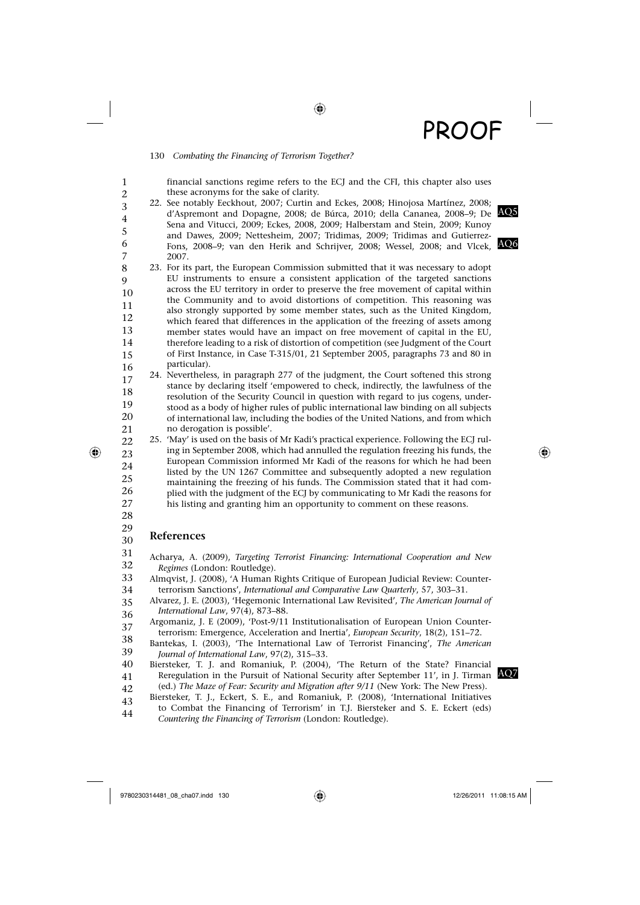⊕

PROOF

#### 130 *Combating the Financing of Terrorism Together?*

◈

financial sanctions regime refers to the ECJ and the CFI, this chapter also uses these acronyms for the sake of clarity. 22. See notably Eeckhout, 2007; Curtin and Eckes, 2008; Hinojosa Martínez, 2008; d'Aspremont and Dopagne, 2008; de Búrca, 2010; della Cananea, 2008–9; De AQ5 Sena and Vitucci, 2009; Eckes, 2008, 2009; Halberstam and Stein, 2009; Kunoy and Dawes, 2009; Nettesheim, 2007; Tridimas, 2009; Tridimas and Gutierrez-Fons, 2008–9; van den Herik and Schrijver, 2008; Wessel, 2008; and Vlcek, AQ6 2007. 23. For its part, the European Commission submitted that it was necessary to adopt EU instruments to ensure a consistent application of the targeted sanctions across the EU territory in order to preserve the free movement of capital within the Community and to avoid distortions of competition. This reasoning was also strongly supported by some member states, such as the United Kingdom, which feared that differences in the application of the freezing of assets among member states would have an impact on free movement of capital in the EU, therefore leading to a risk of distortion of competition (see Judgment of the Court of First Instance, in Case T-315/01, 21 September 2005, paragraphs 73 and 80 in particular). 24. Nevertheless, in paragraph 277 of the judgment, the Court softened this strong stance by declaring itself 'empowered to check, indirectly, the lawfulness of the resolution of the Security Council in question with regard to jus cogens, understood as a body of higher rules of public international law binding on all subjects of international law, including the bodies of the United Nations, and from which no derogation is possible'. 25. 'May' is used on the basis of Mr Kadi's practical experience. Following the ECJ ruling in September 2008, which had annulled the regulation freezing his funds, the European Commission informed Mr Kadi of the reasons for which he had been listed by the UN 1267 Committee and subsequently adopted a new regulation maintaining the freezing of his funds. The Commission stated that it had complied with the judgment of the ECJ by communicating to Mr Kadi the reasons for his listing and granting him an opportunity to comment on these reasons. **References** Acharya, A. (2009), *Targeting Terrorist Financing: International Cooperation and New Regimes* (London: Routledge). Almqvist, J. (2008), 'A Human Rights Critique of European Judicial Review: Counterterrorism Sanctions', *International and Comparative Law Quarterly*, 57, 303–31. Alvarez, J. E. (2003), 'Hegemonic International Law Revisited', *The American Journal of International Law*, 97(4), 873–88. Argomaniz, J. E (2009), 'Post-9/11 Institutionalisation of European Union Counterterrorism: Emergence, Acceleration and Inertia', *European Security*, 18(2), 151–72. Bantekas, I. (2003), 'The International Law of Terrorist Financing', *The American Journal of International Law*, 97(2), 315–33. Biersteker, T. J. and Romaniuk, P. (2004), 'The Return of the State? Financial Reregulation in the Pursuit of National Security after September 11', in J. Tirman (ed.) *The Maze of Fear: Security and Migration after 9/11* (New York: The New Press). Biersteker, T. J., Eckert, S. E., and Romaniuk, P. (2008), 'International Initiatives to Combat the Financing of Terrorism' in T.J. Biersteker and S. E. Eckert (eds) *Countering the Financing of Terrorism* (London: Routledge).  $AO7$ 10 11 12 13 14 15 16 17 18 19 20 21 22 23 24 25 26 27 28 29 30 31 32 33 34 35 36 37 38 39 40 41 42 43 44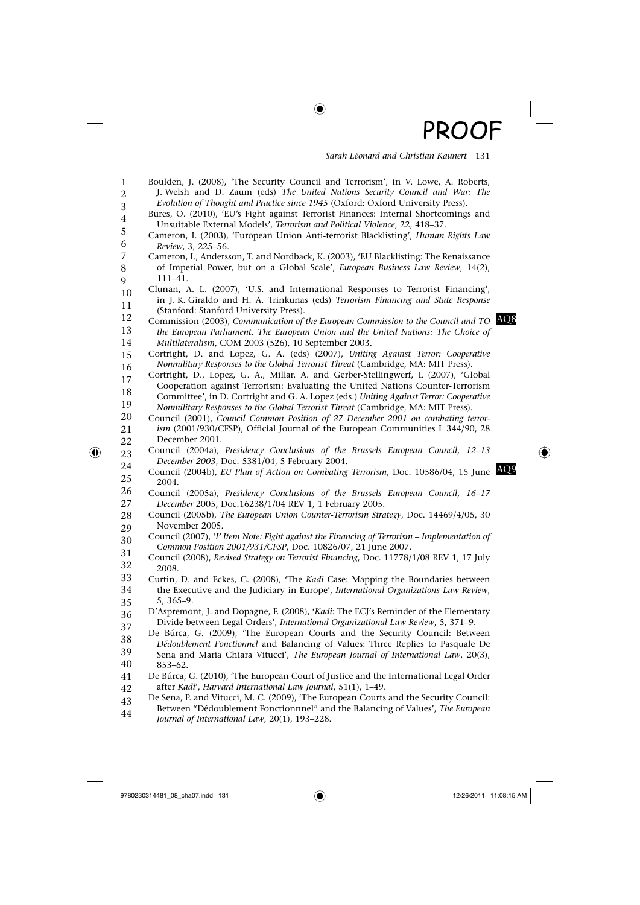$\begin{array}{c} \hline \end{array}$ 

 $\bigoplus$ 

*Sarah Léonard and Christian Kaunert* 131

| $\mathbf{1}$<br>$\boldsymbol{2}$<br>3<br>4<br>$\sqrt{5}$<br>6<br>$\boldsymbol{7}$ | Boulden, J. (2008), 'The Security Council and Terrorism', in V. Lowe, A. Roberts,<br>J. Welsh and D. Zaum (eds) The United Nations Security Council and War: The<br>Evolution of Thought and Practice since 1945 (Oxford: Oxford University Press).<br>Bures, O. (2010), 'EU's Fight against Terrorist Finances: Internal Shortcomings and<br>Unsuitable External Models', Terrorism and Political Violence, 22, 418-37.<br>Cameron, I. (2003), 'European Union Anti-terrorist Blacklisting', Human Rights Law<br>Review, 3, 225-56.<br>Cameron, I., Andersson, T. and Nordback, K. (2003), 'EU Blacklisting: The Renaissance |  |
|-----------------------------------------------------------------------------------|-------------------------------------------------------------------------------------------------------------------------------------------------------------------------------------------------------------------------------------------------------------------------------------------------------------------------------------------------------------------------------------------------------------------------------------------------------------------------------------------------------------------------------------------------------------------------------------------------------------------------------|--|
| 8                                                                                 | of Imperial Power, but on a Global Scale', European Business Law Review, 14(2),                                                                                                                                                                                                                                                                                                                                                                                                                                                                                                                                               |  |
| 9<br>$10\,$                                                                       | $111 - 41.$<br>Clunan, A. L. (2007), 'U.S. and International Responses to Terrorist Financing',                                                                                                                                                                                                                                                                                                                                                                                                                                                                                                                               |  |
| 11                                                                                | in J. K. Giraldo and H. A. Trinkunas (eds) Terrorism Financing and State Response                                                                                                                                                                                                                                                                                                                                                                                                                                                                                                                                             |  |
| $12\,$                                                                            | (Stanford: Stanford University Press).<br>Commission (2003), Communication of the European Commission to the Council and TO AQ8                                                                                                                                                                                                                                                                                                                                                                                                                                                                                               |  |
| 13                                                                                | the European Parliament. The European Union and the United Nations: The Choice of                                                                                                                                                                                                                                                                                                                                                                                                                                                                                                                                             |  |
| 14                                                                                | Multilateralism, COM 2003 (526), 10 September 2003.                                                                                                                                                                                                                                                                                                                                                                                                                                                                                                                                                                           |  |
| 15                                                                                | Cortright, D. and Lopez, G. A. (eds) (2007), Uniting Against Terror: Cooperative<br>Nonmilitary Responses to the Global Terrorist Threat (Cambridge, MA: MIT Press).                                                                                                                                                                                                                                                                                                                                                                                                                                                          |  |
| 16<br>17                                                                          | Cortright, D., Lopez, G. A., Millar, A. and Gerber-Stellingwerf, L (2007), 'Global                                                                                                                                                                                                                                                                                                                                                                                                                                                                                                                                            |  |
| 18                                                                                | Cooperation against Terrorism: Evaluating the United Nations Counter-Terrorism                                                                                                                                                                                                                                                                                                                                                                                                                                                                                                                                                |  |
| 19                                                                                | Committee', in D. Cortright and G. A. Lopez (eds.) Uniting Against Terror: Cooperative                                                                                                                                                                                                                                                                                                                                                                                                                                                                                                                                        |  |
| 20                                                                                | Nonmilitary Responses to the Global Terrorist Threat (Cambridge, MA: MIT Press).<br>Council (2001), Council Common Position of 27 December 2001 on combating terror-                                                                                                                                                                                                                                                                                                                                                                                                                                                          |  |
| 21                                                                                | ism (2001/930/CFSP), Official Journal of the European Communities L 344/90, 28                                                                                                                                                                                                                                                                                                                                                                                                                                                                                                                                                |  |
| 22                                                                                | December 2001.                                                                                                                                                                                                                                                                                                                                                                                                                                                                                                                                                                                                                |  |
| 23                                                                                | Council (2004a), Presidency Conclusions of the Brussels European Council, 12–13                                                                                                                                                                                                                                                                                                                                                                                                                                                                                                                                               |  |
| 24                                                                                | December 2003, Doc. 5381/04, 5 February 2004.                                                                                                                                                                                                                                                                                                                                                                                                                                                                                                                                                                                 |  |
| 25                                                                                | Council (2004b), EU Plan of Action on Combating Terrorism, Doc. 10586/04, 15 June AQ9<br>2004.                                                                                                                                                                                                                                                                                                                                                                                                                                                                                                                                |  |
| $26\,$                                                                            | Council (2005a), Presidency Conclusions of the Brussels European Council, 16-17                                                                                                                                                                                                                                                                                                                                                                                                                                                                                                                                               |  |
| 27                                                                                | December 2005, Doc.16238/1/04 REV 1, 1 February 2005.                                                                                                                                                                                                                                                                                                                                                                                                                                                                                                                                                                         |  |
| $28\,$                                                                            | Council (2005b), The European Union Counter-Terrorism Strategy, Doc. 14469/4/05, 30                                                                                                                                                                                                                                                                                                                                                                                                                                                                                                                                           |  |
| 29                                                                                | November 2005.                                                                                                                                                                                                                                                                                                                                                                                                                                                                                                                                                                                                                |  |
| 30                                                                                | Council (2007), 'I' Item Note: Fight against the Financing of Terrorism - Implementation of<br>Common Position 2001/931/CFSP, Doc. 10826/07, 21 June 2007.                                                                                                                                                                                                                                                                                                                                                                                                                                                                    |  |
| 31                                                                                | Council (2008), Revised Strategy on Terrorist Financing, Doc. 11778/1/08 REV 1, 17 July                                                                                                                                                                                                                                                                                                                                                                                                                                                                                                                                       |  |
| 32                                                                                | 2008.                                                                                                                                                                                                                                                                                                                                                                                                                                                                                                                                                                                                                         |  |
| 33                                                                                | Curtin, D. and Eckes, C. (2008), 'The <i>Kadi</i> Case: Mapping the Boundaries between                                                                                                                                                                                                                                                                                                                                                                                                                                                                                                                                        |  |
| 34                                                                                | the Executive and the Judiciary in Europe', International Organizations Law Review,                                                                                                                                                                                                                                                                                                                                                                                                                                                                                                                                           |  |
| 35                                                                                | $5, 365 - 9.$                                                                                                                                                                                                                                                                                                                                                                                                                                                                                                                                                                                                                 |  |
| 36                                                                                | D'Aspremont, J. and Dopagne, F. (2008), 'Kadi: The ECJ's Reminder of the Elementary<br>Divide between Legal Orders', International Organizational Law Review, 5, 371–9.                                                                                                                                                                                                                                                                                                                                                                                                                                                       |  |
| 37                                                                                | De Búrca, G. (2009), 'The European Courts and the Security Council: Between                                                                                                                                                                                                                                                                                                                                                                                                                                                                                                                                                   |  |
| $38\,$                                                                            | Dédoublement Fonctionnel and Balancing of Values: Three Replies to Pasquale De                                                                                                                                                                                                                                                                                                                                                                                                                                                                                                                                                |  |
| 39                                                                                | Sena and Maria Chiara Vitucci', The European Journal of International Law, 20(3),                                                                                                                                                                                                                                                                                                                                                                                                                                                                                                                                             |  |
| 40                                                                                | $853 - 62.$                                                                                                                                                                                                                                                                                                                                                                                                                                                                                                                                                                                                                   |  |
| 41                                                                                | De Búrca, G. (2010), 'The European Court of Justice and the International Legal Order                                                                                                                                                                                                                                                                                                                                                                                                                                                                                                                                         |  |
| 42                                                                                | after Kadi', Harvard International Law Journal, 51(1), 1-49.                                                                                                                                                                                                                                                                                                                                                                                                                                                                                                                                                                  |  |
| 43                                                                                | De Sena, P. and Vitucci, M. C. (2009), 'The European Courts and the Security Council:<br>Between "Dédoublement Fonctionnnel" and the Balancing of Values', The European                                                                                                                                                                                                                                                                                                                                                                                                                                                       |  |
| 44                                                                                | Journal of International Law, 20(1), 193-228.                                                                                                                                                                                                                                                                                                                                                                                                                                                                                                                                                                                 |  |

 $\bigoplus$ 

 $\bigoplus$ 

9780230314481\_08\_cha07.indd 131 780230314481\_08:15 AM 2/26/2011 11:08:15 AM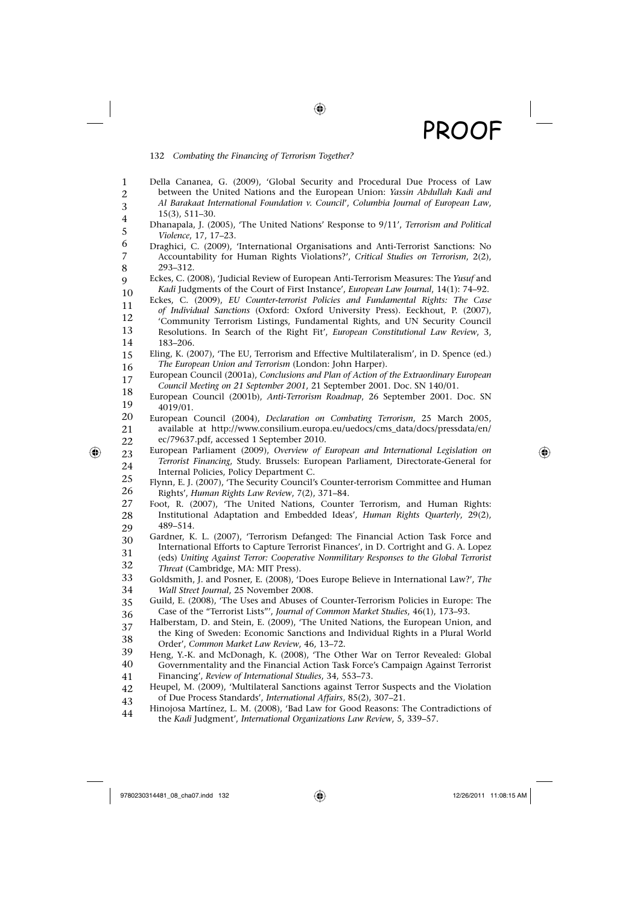#### 132 *Combating the Financing of Terrorism Together?*

Della Cananea, G. (2009), 'Global Security and Procedural Due Process of Law between the United Nations and the European Union: *Yassin Abdullah Kadi and Al Barakaat International Foundation v. Council*', *Columbia Journal of European Law*, 15(3), 511–30. Dhanapala, J. (2005), 'The United Nations' Response to 9/11', *Terrorism and Political Violence*, 17, 17–23. Draghici, C. (2009), 'International Organisations and Anti-Terrorist Sanctions: No Accountability for Human Rights Violations?', *Critical Studies on Terrorism*, 2(2), 293–312. Eckes, C. (2008), 'Judicial Review of European Anti-Terrorism Measures: The *Yusuf* and *Kadi* Judgments of the Court of First Instance', *European Law Journal*, 14(1): 74–92. Eckes, C. (2009), *EU Counter-terrorist Policies and Fundamental Rights: The Case of Individual Sanctions* (Oxford: Oxford University Press). Eeckhout, P. (2007), 'Community Terrorism Listings, Fundamental Rights, and UN Security Council Resolutions. In Search of the Right Fit', *European Constitutional Law Review*, 3, 183–206. Eling, K. (2007), 'The EU, Terrorism and Effective Multilateralism', in D. Spence (ed.) *The European Union and Terrorism* (London: John Harper). European Council (2001a), *Conclusions and Plan of Action of the Extraordinary European Council Meeting on 21 September 2001*, 21 September 2001. Doc. SN 140/01. European Council (2001b), *Anti-Terrorism Roadmap*, 26 September 2001. Doc. SN 4019/01. European Council (2004), *Declaration on Combating Terrorism*, 25 March 2005, available at http://www.consilium.europa.eu/uedocs/cms\_data/docs/pressdata/en/ ec/79637.pdf, accessed 1 September 2010. European Parliament (2009), *Overview of European and International Legislation on Terrorist Financing*, Study. Brussels: European Parliament, Directorate-General for Internal Policies, Policy Department C. Flynn, E. J. (2007), 'The Security Council's Counter-terrorism Committee and Human Rights', *Human Rights Law Review*, 7(2), 371–84. Foot, R. (2007), 'The United Nations, Counter Terrorism, and Human Rights: Institutional Adaptation and Embedded Ideas', *Human Rights Quarterly*, 29(2), 489–514. Gardner, K. L. (2007), 'Terrorism Defanged: The Financial Action Task Force and International Efforts to Capture Terrorist Finances', in D. Cortright and G. A. Lopez (eds) *Uniting Against Terror: Cooperative Nonmilitary Responses to the Global Terrorist Threat* (Cambridge, MA: MIT Press). Goldsmith, J. and Posner, E. (2008), 'Does Europe Believe in International Law?', *The Wall Street Journal*, 25 November 2008. Guild, E. (2008), 'The Uses and Abuses of Counter-Terrorism Policies in Europe: The Case of the "Terrorist Lists"', *Journal of Common Market Studies*, 46(1), 173–93. Halberstam, D. and Stein, E. (2009), 'The United Nations, the European Union, and the King of Sweden: Economic Sanctions and Individual Rights in a Plural World Order', *Common Market Law Review*, 46, 13–72. Heng, Y.-K. and McDonagh, K. (2008), 'The Other War on Terror Revealed: Global Governmentality and the Financial Action Task Force's Campaign Against Terrorist Financing', *Review of International Studies*, 34, 553–73. Heupel, M. (2009), 'Multilateral Sanctions against Terror Suspects and the Violation of Due Process Standards', *International Affairs*, 85(2), 307–21. Hinojosa Martínez, L. M. (2008), 'Bad Law for Good Reasons: The Contradictions of 1  $\mathfrak{D}$ 3 4 5 6 7 8  $\mathbf Q$ 10 11 12 13 14 15 16 17 18 19 20 21 22 23 24 25 26 27 28 29 30 31 32 33 34 35 36 37 38 39 40 41 42 43 44

⊕

◈

the *Kadi* Judgment', *International Organizations Law Review*, 5, 339–57.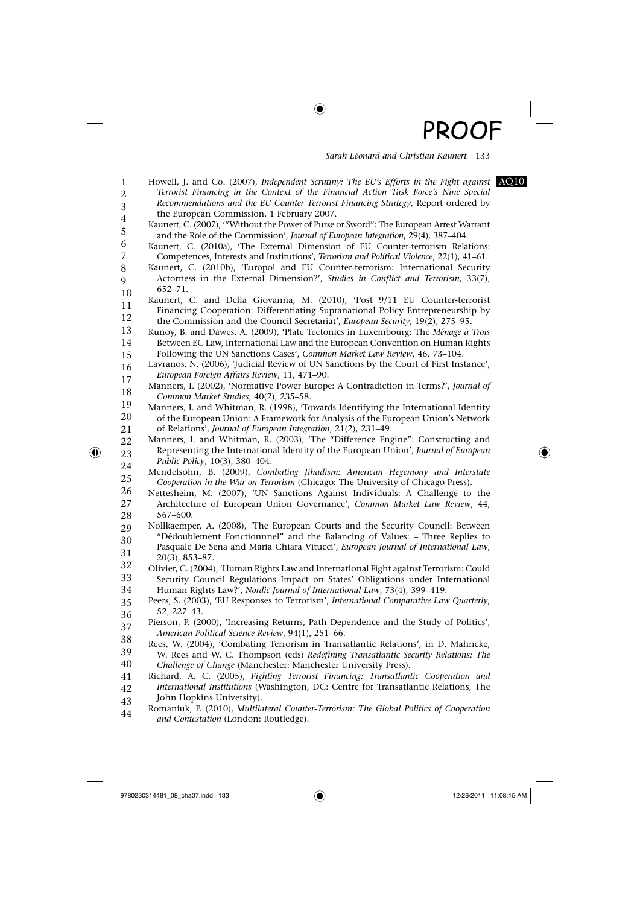#### *Sarah Léonard and Christian Kaunert* 133

◈

1 Howell, J. and Co. (2007), *Independent Scrutiny: The EU's Efforts in the Fight against* **AQ10** *Terrorist Financing in the Context of the Financial Action Task Force's Nine Special Recommendations and the EU Counter Terrorist Financing Strategy*, Report ordered by the European Commission, 1 February 2007. Kaunert, C. (2007), '"Without the Power of Purse or Sword": The European Arrest Warrant and the Role of the Commission', *Journal of European Integration*, 29(4), 387–404. Kaunert, C. (2010a), 'The External Dimension of EU Counter-terrorism Relations: Competences, Interests and Institutions', *Terrorism and Political Violence*, 22(1), 41–61. Kaunert, C. (2010b), 'Europol and EU Counter-terrorism: International Security Actorness in the External Dimension?', *Studies in Conflict and Terrorism*, 33(7), 652–71. Kaunert, C. and Della Giovanna, M. (2010), 'Post 9/11 EU Counter-terrorist Financing Cooperation: Differentiating Supranational Policy Entrepreneurship by the Commission and the Council Secretariat', *European Security*, 19(2), 275–95. Kunoy, B. and Dawes, A. (2009), 'Plate Tectonics in Luxembourg: The *Ménage à Trois* Between EC Law, International Law and the European Convention on Human Rights Following the UN Sanctions Cases', *Common Market Law Review*, 46, 73–104. Lavranos, N. (2006), 'Judicial Review of UN Sanctions by the Court of First Instance', *European Foreign Affairs Review*, 11, 471–90. Manners, I. (2002), 'Normative Power Europe: A Contradiction in Terms?', *Journal of Common Market Studies*, 40(2), 235–58. Manners, I. and Whitman, R. (1998), 'Towards Identifying the International Identity of the European Union: A Framework for Analysis of the European Union's Network of Relations', *Journal of European Integration*, 21(2), 231–49. Manners, I. and Whitman, R. (2003), 'The "Difference Engine": Constructing and Representing the International Identity of the European Union', *Journal of European Public Policy*, 10(3), 380–404. Mendelsohn, B. (2009), *Combating Jihadism: American Hegemony and Interstate Cooperation in the War on Terrorism* (Chicago: The University of Chicago Press). Nettesheim, M. (2007), 'UN Sanctions Against Individuals: A Challenge to the Architecture of European Union Governance', *Common Market Law Review*, 44, 567–600. Nollkaemper, A. (2008), 'The European Courts and the Security Council: Between "Dédoublement Fonctionnnel" and the Balancing of Values: – Three Replies to Pasquale De Sena and Maria Chiara Vitucci', *European Journal of International Law*, 20(3), 853–87. Olivier, C. (2004), 'Human Rights Law and International Fight against Terrorism: Could Security Council Regulations Impact on States' Obligations under International Human Rights Law?', *Nordic Journal of International Law*, 73(4), 399–419. Peers, S. (2003), 'EU Responses to Terrorism', *International Comparative Law Quarterly*, 52, 227–43. Pierson, P. (2000), 'Increasing Returns, Path Dependence and the Study of Politics', *American Political Science Review*, 94(1), 251–66. Rees, W. (2004), 'Combating Terrorism in Transatlantic Relations', in D. Mahncke, W. Rees and W. C. Thompson (eds) *Redefining Transatlantic Security Relations: The Challenge of Change* (Manchester: Manchester University Press). Richard, A. C. (2005), *Fighting Terrorist Financing: Transatlantic Cooperation and International Institutions* (Washington, DC: Centre for Transatlantic Relations, The John Hopkins University). Romaniuk, P. (2010), *Multilateral Counter-Terrorism: The Global Politics of Cooperation and Contestation* (London: Routledge). 2 3 4 5 6 7 8 **9** 10 11 12 13 14 15 16 17 18 19 20 21 22 23 24 25 26 27 28 29 30 31 32 33 34 35 36 37 38 39 40 41 42 43 44

⊕

◈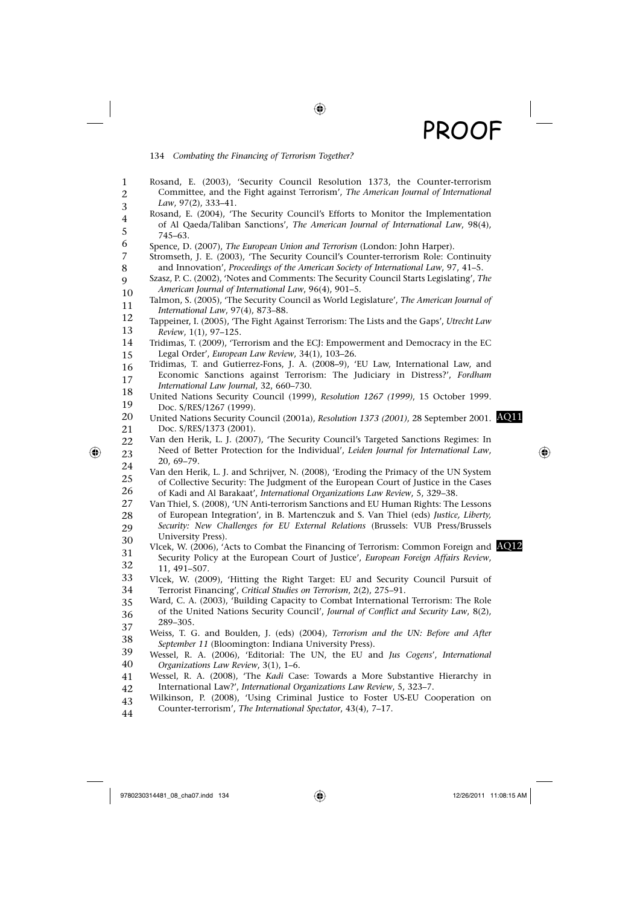#### 134 *Combating the Financing of Terrorism Together?*

Rosand, E. (2003), 'Security Council Resolution 1373, the Counter-terrorism Committee, and the Fight against Terrorism', *The American Journal of International Law*, 97(2), 333–41. Rosand, E. (2004), 'The Security Council's Efforts to Monitor the Implementation of Al Qaeda/Taliban Sanctions', *The American Journal of International Law*, 98(4), 745–63. Spence, D. (2007), *The European Union and Terrorism* (London: John Harper). Stromseth, J. E. (2003), 'The Security Council's Counter-terrorism Role: Continuity and Innovation', *Proceedings of the American Society of International Law*, 97, 41–5. Szasz, P. C. (2002), 'Notes and Comments: The Security Council Starts Legislating', *The American Journal of International Law*, 96(4), 901–5. Talmon, S. (2005), 'The Security Council as World Legislature', *The American Journal of International Law*, 97(4), 873–88. Tappeiner, I. (2005), 'The Fight Against Terrorism: The Lists and the Gaps', *Utrecht Law Review*, 1(1), 97–125. Tridimas, T. (2009), 'Terrorism and the ECJ: Empowerment and Democracy in the EC Legal Order', *European Law Review*, 34(1), 103–26. Tridimas, T. and Gutierrez-Fons, J. A. (2008–9), 'EU Law, International Law, and Economic Sanctions against Terrorism: The Judiciary in Distress?', *Fordham International Law Journal*, 32, 660–730. United Nations Security Council (1999), *Resolution 1267 (1999)*, 15 October 1999. Doc. S/RES/1267 (1999). United Nations Security Council (2001a), *Resolution 1373 (2001)*, 28 September 2001. AQ11 Doc. S/RES/1373 (2001). Van den Herik, L. J. (2007), 'The Security Council's Targeted Sanctions Regimes: In Need of Better Protection for the Individual', *Leiden Journal for International Law*, 20, 69–79. Van den Herik, L. J. and Schrijver, N. (2008), 'Eroding the Primacy of the UN System of Collective Security: The Judgment of the European Court of Justice in the Cases of Kadi and Al Barakaat', *International Organizations Law Review*, 5, 329–38. Van Thiel, S. (2008), 'UN Anti-terrorism Sanctions and EU Human Rights: The Lessons of European Integration', in B. Martenczuk and S. Van Thiel (eds) *Justice, Liberty, Security: New Challenges for EU External Relations* (Brussels: VUB Press/Brussels University Press). Vlcek, W. (2006), 'Acts to Combat the Financing of Terrorism: Common Foreign and **AQ12** Security Policy at the European Court of Justice', *European Foreign Affairs Review*, 11, 491–507. Vlcek, W. (2009), 'Hitting the Right Target: EU and Security Council Pursuit of Terrorist Financing', *Critical Studies on Terrorism*, 2(2), 275–91. Ward, C. A. (2003), 'Building Capacity to Combat International Terrorism: The Role of the United Nations Security Council', *Journal of Conflict and Security Law*, 8(2), 289–305. Weiss, T. G. and Boulden, J. (eds) (2004), *Terrorism and the UN: Before and After September 11* (Bloomington: Indiana University Press). Wessel, R. A. (2006), 'Editorial: The UN, the EU and *Jus Cogens*', *International Organizations Law Review*, 3(1), 1–6. Wessel, R. A. (2008), 'The *Kadi* Case: Towards a More Substantive Hierarchy in International Law?', *International Organizations Law Review*, 5, 323–7. Wilkinson, P. (2008), 'Using Criminal Justice to Foster US-EU Cooperation on 1  $\mathfrak{D}$ 3 4 5 6 7 8  $\mathbf Q$ 10 11 12 13 14 15 16 17 18 19 20 21 22 23 24 25 26 27 28 29 30 31 32 33 34 35 36 37 38 39 40 41 42 43

Counter-terrorism', *The International Spectator*, 43(4), 7–17. 44

⊕

⊕

PROOF